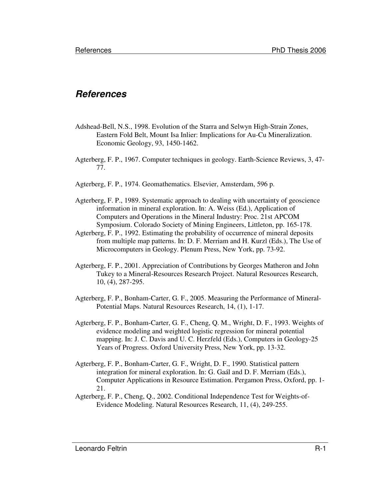## **References**

- Adshead-Bell, N.S., 1998. Evolution of the Starra and Selwyn High-Strain Zones, Eastern Fold Belt, Mount Isa Inlier: Implications for Au-Cu Mineralization. Economic Geology, 93, 1450-1462.
- Agterberg, F. P., 1967. Computer techniques in geology. Earth-Science Reviews, 3, 47- 77.
- Agterberg, F. P., 1974. Geomathematics. Elsevier, Amsterdam, 596 p.
- Agterberg, F. P., 1989. Systematic approach to dealing with uncertainty of geoscience information in mineral exploration. In: A. Weiss (Ed.), Application of Computers and Operations in the Mineral Industry: Proc. 21st APCOM Symposium. Colorado Society of Mining Engineers, Littleton, pp. 165-178.
- Agterberg, F. P., 1992. Estimating the probability of occurrence of mineral deposits from multiple map patterns. In: D. F. Merriam and H. Kurzl (Eds.), The Use of Microcomputers in Geology. Plenum Press, New York, pp. 73-92.
- Agterberg, F. P., 2001. Appreciation of Contributions by Georges Matheron and John Tukey to a Mineral-Resources Research Project. Natural Resources Research, 10, (4), 287-295.
- Agterberg, F. P., Bonham-Carter, G. F., 2005. Measuring the Performance of Mineral-Potential Maps. Natural Resources Research, 14, (1), 1-17.
- Agterberg, F. P., Bonham-Carter, G. F., Cheng, Q. M., Wright, D. F., 1993. Weights of evidence modeling and weighted logistic regression for mineral potential mapping. In: J. C. Davis and U. C. Herzfeld (Eds.), Computers in Geology-25 Years of Progress. Oxford University Press, New York, pp. 13-32.
- Agterberg, F. P., Bonham-Carter, G. F., Wright, D. F., 1990. Statistical pattern integration for mineral exploration. In: G. Gaál and D. F. Merriam (Eds.), Computer Applications in Resource Estimation. Pergamon Press, Oxford, pp. 1- 21.
- Agterberg, F. P., Cheng, Q., 2002. Conditional Independence Test for Weights-of-Evidence Modeling. Natural Resources Research, 11, (4), 249-255.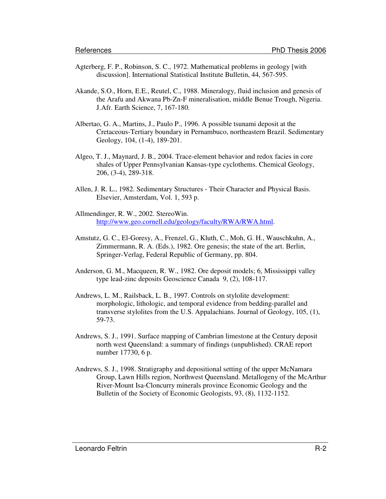- Agterberg, F. P., Robinson, S. C., 1972. Mathematical problems in geology [with discussion]. International Statistical Institute Bulletin, 44, 567-595.
- Akande, S.O., Horn, E.E., Reutel, C., 1988. Mineralogy, fluid inclusion and genesis of the Arafu and Akwana Pb-Zn-F mineralisation, middle Benue Trough, Nigeria. J.Afr. Earth Science, 7, 167-180.
- Albertao, G. A., Martins, J., Paulo P., 1996. A possible tsunami deposit at the Cretaceous-Tertiary boundary in Pernambuco, northeastern Brazil. Sedimentary Geology, 104, (1-4), 189-201.
- Algeo, T. J., Maynard, J. B., 2004. Trace-element behavior and redox facies in core shales of Upper Pennsylvanian Kansas-type cyclothems. Chemical Geology, 206, (3-4), 289-318.
- Allen, J. R. L., 1982. Sedimentary Structures Their Character and Physical Basis. Elsevier, Amsterdam, Vol. 1, 593 p.
- Allmendinger, R. W., 2002. StereoWin. http://www.geo.cornell.edu/geology/faculty/RWA/RWA.html.
- Amstutz, G. C., El-Goresy, A., Frenzel, G., Kluth, C., Moh, G. H., Wauschkuhn, A., Zimmermann, R. A. (Eds.), 1982. Ore genesis; the state of the art. Berlin, Springer-Verlag, Federal Republic of Germany, pp. 804.
- Anderson, G. M., Macqueen, R. W., 1982. Ore deposit models; 6, Mississippi valley type lead-zinc deposits Geoscience Canada 9, (2), 108-117.
- Andrews, L. M., Railsback, L. B., 1997. Controls on stylolite development: morphologic, lithologic, and temporal evidence from bedding-parallel and transverse stylolites from the U.S. Appalachians. Journal of Geology, 105, (1), 59-73.
- Andrews, S. J., 1991. Surface mapping of Cambrian limestone at the Century deposit north west Queensland: a summary of findings (unpublished). CRAE report number 17730, 6 p.
- Andrews, S. J., 1998. Stratigraphy and depositional setting of the upper McNamara Group, Lawn Hills region, Northwest Queensland. Metallogeny of the McArthur River-Mount Isa-Cloncurry minerals province Economic Geology and the Bulletin of the Society of Economic Geologists, 93, (8), 1132-1152.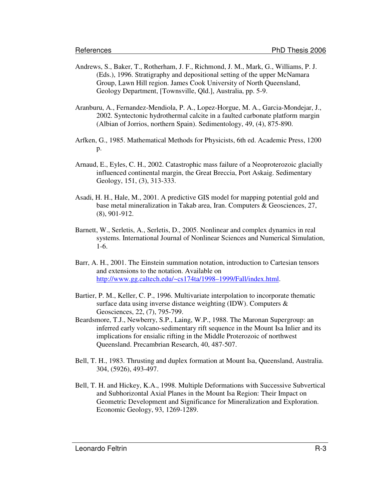- Andrews, S., Baker, T., Rotherham, J. F., Richmond, J. M., Mark, G., Williams, P. J. (Eds.), 1996. Stratigraphy and depositional setting of the upper McNamara Group, Lawn Hill region. James Cook University of North Queensland, Geology Department, [Townsville, Qld.], Australia, pp. 5-9.
- Aranburu, A., Fernandez-Mendiola, P. A., Lopez-Horgue, M. A., Garcia-Mondejar, J., 2002. Syntectonic hydrothermal calcite in a faulted carbonate platform margin (Albian of Jorrios, northern Spain). Sedimentology, 49, (4), 875-890.
- Arfken, G., 1985. Mathematical Methods for Physicists, 6th ed. Academic Press, 1200 p.
- Arnaud, E., Eyles, C. H., 2002. Catastrophic mass failure of a Neoproterozoic glacially influenced continental margin, the Great Breccia, Port Askaig. Sedimentary Geology, 151, (3), 313-333.
- Asadi, H. H., Hale, M., 2001. A predictive GIS model for mapping potential gold and base metal mineralization in Takab area, Iran. Computers & Geosciences, 27, (8), 901-912.
- Barnett, W., Serletis, A., Serletis, D., 2005. Nonlinear and complex dynamics in real systems. International Journal of Nonlinear Sciences and Numerical Simulation, 1-6.
- Barr, A. H., 2001. The Einstein summation notation, introduction to Cartesian tensors and extensions to the notation. Available on http://www.gg.caltech.edu/~cs174ta/1998–1999/Fall/index.html.
- Bartier, P. M., Keller, C. P., 1996. Multivariate interpolation to incorporate thematic surface data using inverse distance weighting (IDW). Computers & Geosciences, 22, (7), 795-799.
- Beardsmore, T.J., Newberry, S.P., Laing, W.P., 1988. The Maronan Supergroup: an inferred early volcano-sedimentary rift sequence in the Mount Isa Inlier and its implications for ensialic rifting in the Middle Proterozoic of northwest Queensland. Precambrian Research, 40, 487-507.
- Bell, T. H., 1983. Thrusting and duplex formation at Mount Isa, Queensland, Australia. 304, (5926), 493-497.
- Bell, T. H. and Hickey, K.A., 1998. Multiple Deformations with Successive Subvertical and Subhorizontal Axial Planes in the Mount Isa Region: Their Impact on Geometric Development and Significance for Mineralization and Exploration. Economic Geology, 93, 1269-1289.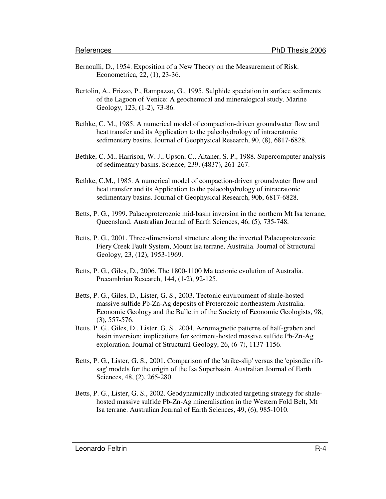- Bernoulli, D., 1954. Exposition of a New Theory on the Measurement of Risk. Econometrica, 22, (1), 23-36.
- Bertolin, A., Frizzo, P., Rampazzo, G., 1995. Sulphide speciation in surface sediments of the Lagoon of Venice: A geochemical and mineralogical study. Marine Geology, 123, (1-2), 73-86.
- Bethke, C. M., 1985. A numerical model of compaction-driven groundwater flow and heat transfer and its Application to the paleohydrology of intracratonic sedimentary basins. Journal of Geophysical Research, 90, (8), 6817-6828.
- Bethke, C. M., Harrison, W. J., Upson, C., Altaner, S. P., 1988. Supercomputer analysis of sedimentary basins. Science, 239, (4837), 261-267.
- Bethke, C.M., 1985. A numerical model of compaction-driven groundwater flow and heat transfer and its Application to the palaeohydrology of intracratonic sedimentary basins. Journal of Geophysical Research, 90b, 6817-6828.
- Betts, P. G., 1999. Palaeoproterozoic mid-basin inversion in the northern Mt Isa terrane, Queensland. Australian Journal of Earth Sciences, 46, (5), 735-748.
- Betts, P. G., 2001. Three-dimensional structure along the inverted Palaeoproterozoic Fiery Creek Fault System, Mount Isa terrane, Australia. Journal of Structural Geology, 23, (12), 1953-1969.
- Betts, P. G., Giles, D., 2006. The 1800-1100 Ma tectonic evolution of Australia. Precambrian Research, 144, (1-2), 92-125.
- Betts, P. G., Giles, D., Lister, G. S., 2003. Tectonic environment of shale-hosted massive sulfide Pb-Zn-Ag deposits of Proterozoic northeastern Australia. Economic Geology and the Bulletin of the Society of Economic Geologists, 98, (3), 557-576.
- Betts, P. G., Giles, D., Lister, G. S., 2004. Aeromagnetic patterns of half-graben and basin inversion: implications for sediment-hosted massive sulfide Pb-Zn-Ag exploration. Journal of Structural Geology, 26, (6-7), 1137-1156.
- Betts, P. G., Lister, G. S., 2001. Comparison of the 'strike-slip' versus the 'episodic riftsag' models for the origin of the Isa Superbasin. Australian Journal of Earth Sciences, 48, (2), 265-280.
- Betts, P. G., Lister, G. S., 2002. Geodynamically indicated targeting strategy for shalehosted massive sulfide Pb-Zn-Ag mineralisation in the Western Fold Belt, Mt Isa terrane. Australian Journal of Earth Sciences, 49, (6), 985-1010.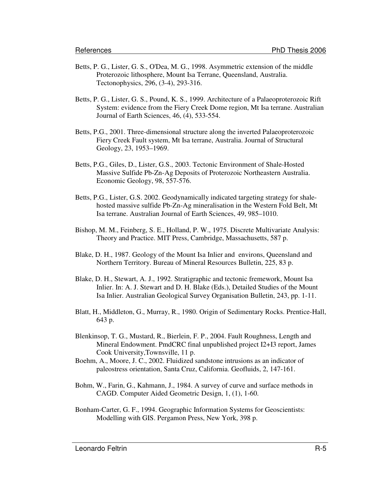- Betts, P. G., Lister, G. S., O'Dea, M. G., 1998. Asymmetric extension of the middle Proterozoic lithosphere, Mount Isa Terrane, Queensland, Australia. Tectonophysics, 296, (3-4), 293-316.
- Betts, P. G., Lister, G. S., Pound, K. S., 1999. Architecture of a Palaeoproterozoic Rift System: evidence from the Fiery Creek Dome region, Mt Isa terrane. Australian Journal of Earth Sciences, 46, (4), 533-554.
- Betts, P.G., 2001. Three-dimensional structure along the inverted Palaeoproterozoic Fiery Creek Fault system, Mt Isa terrane, Australia. Journal of Structural Geology, 23, 1953–1969.
- Betts, P.G., Giles, D., Lister, G.S., 2003. Tectonic Environment of Shale-Hosted Massive Sulfide Pb-Zn-Ag Deposits of Proterozoic Northeastern Australia. Economic Geology, 98, 557-576.
- Betts, P.G., Lister, G.S. 2002. Geodynamically indicated targeting strategy for shalehosted massive sulfide Pb-Zn-Ag mineralisation in the Western Fold Belt, Mt Isa terrane. Australian Journal of Earth Sciences, 49, 985–1010.
- Bishop, M. M., Feinberg, S. E., Holland, P. W., 1975. Discrete Multivariate Analysis: Theory and Practice. MIT Press, Cambridge, Massachusetts, 587 p.
- Blake, D. H., 1987. Geology of the Mount Isa Inlier and environs, Queensland and Northern Territory. Bureau of Mineral Resources Bulletin, 225, 83 p.
- Blake, D. H., Stewart, A. J., 1992. Stratigraphic and tectonic fremework, Mount Isa Inlier. In: A. J. Stewart and D. H. Blake (Eds.), Detailed Studies of the Mount Isa Inlier. Australian Geological Survey Organisation Bulletin, 243, pp. 1-11.
- Blatt, H., Middleton, G., Murray, R., 1980. Origin of Sedimentary Rocks. Prentice-Hall, 643 p.
- Blenkinsop, T. G., Mustard, R., Bierlein, F. P., 2004. Fault Roughness, Length and Mineral Endowment. PmdCRC final unpublished project I2+I3 report, James Cook University,Townsville, 11 p.
- Boehm, A., Moore, J. C., 2002. Fluidized sandstone intrusions as an indicator of paleostress orientation, Santa Cruz, California. Geofluids, 2, 147-161.
- Bohm, W., Farin, G., Kahmann, J., 1984. A survey of curve and surface methods in CAGD. Computer Aided Geometric Design, 1, (1), 1-60.
- Bonham-Carter, G. F., 1994. Geographic Information Systems for Geoscientists: Modelling with GIS. Pergamon Press, New York, 398 p.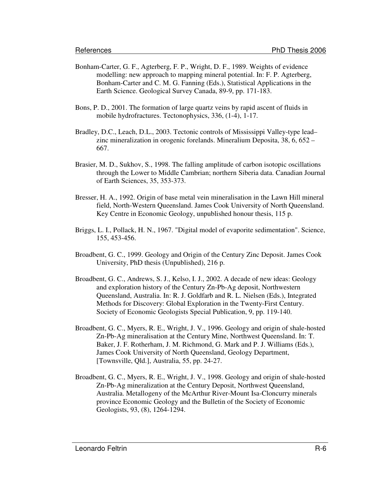- Bonham-Carter, G. F., Agterberg, F. P., Wright, D. F., 1989. Weights of evidence modelling: new approach to mapping mineral potential. In: F. P. Agterberg, Bonham-Carter and C. M. G. Fanning (Eds.), Statistical Applications in the Earth Science. Geological Survey Canada, 89-9, pp. 171-183.
- Bons, P. D., 2001. The formation of large quartz veins by rapid ascent of fluids in mobile hydrofractures. Tectonophysics, 336, (1-4), 1-17.
- Bradley, D.C., Leach, D.L., 2003. Tectonic controls of Mississippi Valley-type lead– zinc mineralization in orogenic forelands. Mineralium Deposita, 38, 6, 652 – 667.
- Brasier, M. D., Sukhov, S., 1998. The falling amplitude of carbon isotopic oscillations through the Lower to Middle Cambrian; northern Siberia data. Canadian Journal of Earth Sciences, 35, 353-373.
- Bresser, H. A., 1992. Origin of base metal vein mineralisation in the Lawn Hill mineral field, North-Western Queensland. James Cook University of North Queensland. Key Centre in Economic Geology, unpublished honour thesis, 115 p.
- Briggs, L. I., Pollack, H. N., 1967. "Digital model of evaporite sedimentation". Science, 155, 453-456.
- Broadbent, G. C., 1999. Geology and Origin of the Century Zinc Deposit. James Cook University, PhD thesis (Unpublished), 216 p.
- Broadbent, G. C., Andrews, S. J., Kelso, I. J., 2002. A decade of new ideas: Geology and exploration history of the Century Zn-Pb-Ag deposit, Northwestern Queensland, Australia. In: R. J. Goldfarb and R. L. Nielsen (Eds.), Integrated Methods for Discovery: Global Exploration in the Twenty-First Century. Society of Economic Geologists Special Publication, 9, pp. 119-140.
- Broadbent, G. C., Myers, R. E., Wright, J. V., 1996. Geology and origin of shale-hosted Zn-Pb-Ag mineralisation at the Century Mine, Northwest Queensland. In: T. Baker, J. F. Rotherham, J. M. Richmond, G. Mark and P. J. Williams (Eds.), James Cook University of North Queensland, Geology Department, [Townsville, Qld.], Australia, 55, pp. 24-27.
- Broadbent, G. C., Myers, R. E., Wright, J. V., 1998. Geology and origin of shale-hosted Zn-Pb-Ag mineralization at the Century Deposit, Northwest Queensland, Australia. Metallogeny of the McArthur River-Mount Isa-Cloncurry minerals province Economic Geology and the Bulletin of the Society of Economic Geologists, 93, (8), 1264-1294.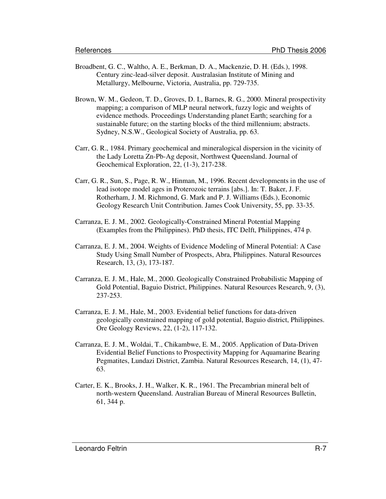- Broadbent, G. C., Waltho, A. E., Berkman, D. A., Mackenzie, D. H. (Eds.), 1998. Century zinc-lead-silver deposit. Australasian Institute of Mining and Metallurgy, Melbourne, Victoria, Australia, pp. 729-735.
- Brown, W. M., Gedeon, T. D., Groves, D. I., Barnes, R. G., 2000. Mineral prospectivity mapping; a comparison of MLP neural network, fuzzy logic and weights of evidence methods. Proceedings Understanding planet Earth; searching for a sustainable future; on the starting blocks of the third millennium; abstracts. Sydney, N.S.W., Geological Society of Australia, pp. 63.
- Carr, G. R., 1984. Primary geochemical and mineralogical dispersion in the vicinity of the Lady Loretta Zn-Pb-Ag deposit, Northwest Queensland. Journal of Geochemical Exploration, 22, (1-3), 217-238.
- Carr, G. R., Sun, S., Page, R. W., Hinman, M., 1996. Recent developments in the use of lead isotope model ages in Proterozoic terrains [abs.]. In: T. Baker, J. F. Rotherham, J. M. Richmond, G. Mark and P. J. Williams (Eds.), Economic Geology Research Unit Contribution. James Cook University, 55, pp. 33-35.
- Carranza, E. J. M., 2002. Geologically-Constrained Mineral Potential Mapping (Examples from the Philippines). PhD thesis, ITC Delft, Philippines, 474 p.
- Carranza, E. J. M., 2004. Weights of Evidence Modeling of Mineral Potential: A Case Study Using Small Number of Prospects, Abra, Philippines. Natural Resources Research, 13, (3), 173-187.
- Carranza, E. J. M., Hale, M., 2000. Geologically Constrained Probabilistic Mapping of Gold Potential, Baguio District, Philippines. Natural Resources Research, 9, (3), 237-253.
- Carranza, E. J. M., Hale, M., 2003. Evidential belief functions for data-driven geologically constrained mapping of gold potential, Baguio district, Philippines. Ore Geology Reviews, 22, (1-2), 117-132.
- Carranza, E. J. M., Woldai, T., Chikambwe, E. M., 2005. Application of Data-Driven Evidential Belief Functions to Prospectivity Mapping for Aquamarine Bearing Pegmatites, Lundazi District, Zambia. Natural Resources Research, 14, (1), 47- 63.
- Carter, E. K., Brooks, J. H., Walker, K. R., 1961. The Precambrian mineral belt of north-western Queensland. Australian Bureau of Mineral Resources Bulletin, 61, 344 p.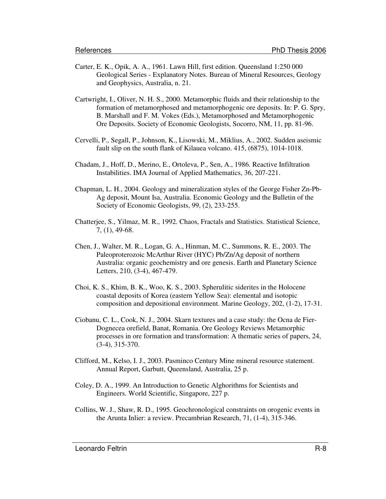- Carter, E. K., Opik, A. A., 1961. Lawn Hill, first edition. Queensland 1:250 000 Geological Series - Explanatory Notes. Bureau of Mineral Resources, Geology and Geophysics, Australia, n. 21.
- Cartwright, I., Oliver, N. H. S., 2000. Metamorphic fluids and their relationship to the formation of metamorphosed and metamorphogenic ore deposits. In: P. G. Spry, B. Marshall and F. M. Vokes (Eds.), Metamorphosed and Metamorphogenic Ore Deposits. Society of Economic Geologists, Socorro, NM, 11, pp. 81-96.
- Cervelli, P., Segall, P., Johnson, K., Lisowski, M., Miklius, A., 2002. Sudden aseismic fault slip on the south flank of Kilauea volcano. 415, (6875), 1014-1018.
- Chadam, J., Hoff, D., Merino, E., Ortoleva, P., Sen, A., 1986. Reactive Infiltration Instabilities. IMA Journal of Applied Mathematics, 36, 207-221.
- Chapman, L. H., 2004. Geology and mineralization styles of the George Fisher Zn-Pb-Ag deposit, Mount Isa, Australia. Economic Geology and the Bulletin of the Society of Economic Geologists, 99, (2), 233-255.
- Chatterjee, S., Yilmaz, M. R., 1992. Chaos, Fractals and Statistics. Statistical Science, 7, (1), 49-68.
- Chen, J., Walter, M. R., Logan, G. A., Hinman, M. C., Summons, R. E., 2003. The Paleoproterozoic McArthur River (HYC) Pb/Zn/Ag deposit of northern Australia: organic geochemistry and ore genesis. Earth and Planetary Science Letters, 210, (3-4), 467-479.
- Choi, K. S., Khim, B. K., Woo, K. S., 2003. Spherulitic siderites in the Holocene coastal deposits of Korea (eastern Yellow Sea): elemental and isotopic composition and depositional environment. Marine Geology, 202, (1-2), 17-31.
- Ciobanu, C. L., Cook, N. J., 2004. Skarn textures and a case study: the Ocna de Fier-Dognecea orefield, Banat, Romania. Ore Geology Reviews Metamorphic processes in ore formation and transformation: A thematic series of papers, 24, (3-4), 315-370.
- Clifford, M., Kelso, I. J., 2003. Pasminco Century Mine mineral resource statement. Annual Report, Garbutt, Queensland, Australia, 25 p.
- Coley, D. A., 1999. An Introduction to Genetic Alghorithms for Scientists and Engineers. World Scientific, Singapore, 227 p.
- Collins, W. J., Shaw, R. D., 1995. Geochronological constraints on orogenic events in the Arunta Inlier: a review. Precambrian Research, 71, (1-4), 315-346.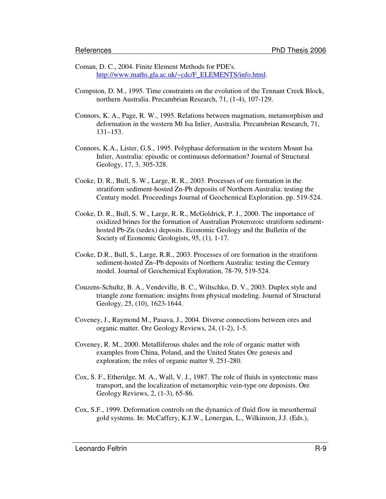- Coman, D. C., 2004. Finite Element Methods for PDE's. http://www.maths.gla.ac.uk/~cdc/F\_ELEMENTS/info.html.
- Compston, D. M., 1995. Time constraints on the evolution of the Tennant Creek Block, northern Australia. Precambrian Research, 71, (1-4), 107-129.
- Connors, K. A., Page, R. W., 1995. Relations between magmatism, metamorphism and deformation in the western Mt Isa Inlier, Australia. Precambrian Research, 71, 131–153.
- Connors, K.A., Lister, G.S., 1995. Polyphase deformation in the western Mount Isa Inlier, Australia: episodic or continuous deformation? Journal of Structural Geology, 17, 3, 305-328.
- Cooke, D. R., Bull, S. W., Large, R. R., 2003. Processes of ore formation in the stratiform sediment-hosted Zn-Pb deposits of Northern Australia: testing the Century model. Proceedings Journal of Geochemical Exploration. pp. 519-524.
- Cooke, D. R., Bull, S. W., Large, R. R., McGoldrick, P. J., 2000. The importance of oxidized brines for the formation of Australian Proterozoic stratiform sedimenthosted Pb-Zn (sedex) deposits. Economic Geology and the Bulletin of the Society of Economic Geologists, 95, (1), 1-17.
- Cooke, D.R., Bull, S., Large, R.R., 2003. Processes of ore formation in the stratiform sediment-hosted Zn–Pb deposits of Northern Australia: testing the Century model. Journal of Geochemical Exploration, 78-79, 519-524.
- Couzens-Schultz, B. A., Vendeville, B. C., Wiltschko, D. V., 2003. Duplex style and triangle zone formation: insights from physical modeling. Journal of Structural Geology, 25, (10), 1623-1644.
- Coveney, J., Raymond M., Pasava, J., 2004. Diverse connections between ores and organic matter. Ore Geology Reviews, 24, (1-2), 1-5.
- Coveney, R. M., 2000. Metalliferous shales and the role of organic matter with examples from China, Poland, and the United States Ore genesis and exploration; the roles of organic matter 9, 251-280.
- Cox, S. F., Etheridge, M. A., Wall, V. J., 1987. The role of fluids in syntectonic mass transport, and the localization of metamorphic vein-type ore deposists. Ore Geology Reviews, 2, (1-3), 65-86.
- Cox, S.F., 1999. Deformation controls on the dynamics of fluid flow in mesothermal gold systems. In: McCaffery, K.J.W., Lonergan, L., Wilkinson, J.J. (Eds.),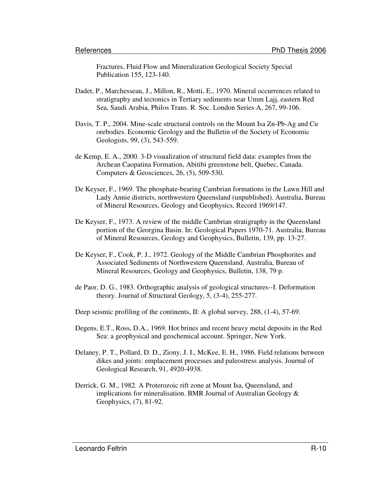Fractures, Fluid Flow and Mineralization Geological Society Special Publication 155, 123-140.

- Dadet, P., Marchesseau, J., Millon, R., Motti, E., 1970. Mineral occurrences related to stratigraphy and tectonics in Tertiary sediments near Umm Lajj, eastern Red Sea, Saudi Arabia, Philos Trans. R. Soc. London Series A, 267, 99-106.
- Davis, T. P., 2004. Mine-scale structural controls on the Mount Isa Zn-Pb-Ag and Cu orebodies. Economic Geology and the Bulletin of the Society of Economic Geologists, 99, (3), 543-559.
- de Kemp, E. A., 2000. 3-D visualization of structural field data: examples from the Archean Caopatina Formation, Abitibi greenstone belt, Quebec, Canada. Computers & Geosciences, 26, (5), 509-530.
- De Keyser, F., 1969. The phosphate-bearing Cambrian formations in the Lawn Hill and Lady Annie districts, northwestern Queensland (unpublished). Australia, Bureau of Mineral Resources, Geology and Geophysics, Record 1969/147.
- De Keyser, F., 1973. A review of the middle Cambrian stratigraphy in the Queensland portion of the Georgina Basin. In: Geological Papers 1970-71. Australia, Bureau of Mineral Resources, Geology and Geophysics, Bulletin, 139, pp. 13-27.
- De Keyser, F., Cook, P. J., 1972. Geology of the Middle Cambrian Phosphorites and Associated Sediments of Northwestern Queensland. Australia, Bureau of Mineral Resources, Geology and Geophysics, Bulletin, 138, 79 p.
- de Paor, D. G., 1983. Orthographic analysis of geological structures--I. Deformation theory. Journal of Structural Geology, 5, (3-4), 255-277.

Deep seismic profiling of the continents, II: A global survey, 288, (1-4), 57-69.

- Degens, E.T., Ross, D.A., 1969. Hot brines and recent heavy metal deposits in the Red Sea: a geophysical and geochemical account. Springer, New York.
- Delaney, P. T., Pollard, D. D., Ziony, J. I., McKee, E. H., 1986. Field relations between dikes and joints: emplacement processes and paleostress analysis. Journal of Geological Research, 91, 4920-4938.
- Derrick, G. M., 1982. A Proterozoic rift zone at Mount Isa, Queensland, and implications for mineralisation. BMR Journal of Australian Geology & Geophysics, (7), 81-92.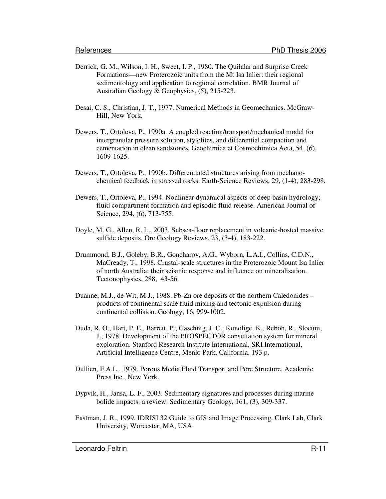- Derrick, G. M., Wilson, I. H., Sweet, I. P., 1980. The Quilalar and Surprise Creek Formations—new Proterozoic units from the Mt Isa Inlier: their regional sedimentology and application to regional correlation. BMR Journal of Australian Geology & Geophysics, (5), 215-223.
- Desai, C. S., Christian, J. T., 1977. Numerical Methods in Geomechanics. McGraw-Hill, New York.
- Dewers, T., Ortoleva, P., 1990a. A coupled reaction/transport/mechanical model for intergranular pressure solution, stylolites, and differential compaction and cementation in clean sandstones. Geochimica et Cosmochimica Acta, 54, (6), 1609-1625.
- Dewers, T., Ortoleva, P., 1990b. Differentiated structures arising from mechanochemical feedback in stressed rocks. Earth-Science Reviews, 29, (1-4), 283-298.
- Dewers, T., Ortoleva, P., 1994. Nonlinear dynamical aspects of deep basin hydrology; fluid compartment formation and episodic fluid release. American Journal of Science, 294, (6), 713-755.
- Doyle, M. G., Allen, R. L., 2003. Subsea-floor replacement in volcanic-hosted massive sulfide deposits. Ore Geology Reviews, 23, (3-4), 183-222.
- Drummond, B.J., Goleby, B.R., Goncharov, A.G., Wyborn, L.A.I., Collins, C.D.N., MaCready, T., 1998. Crustal-scale structures in the Proterozoic Mount Isa Inlier of north Australia: their seismic response and influence on mineralisation. Tectonophysics, 288, 43-56.
- Duanne, M.J., de Wit, M.J., 1988. Pb-Zn ore deposits of the northern Caledonides products of continental scale fluid mixing and tectonic expulsion during continental collision. Geology, 16, 999-1002.
- Duda, R. O., Hart, P. E., Barrett, P., Gaschnig, J. C., Konolige, K., Reboh, R., Slocum, J., 1978. Development of the PROSPECTOR consultation system for mineral exploration. Stanford Research Institute International, SRI International, Artificial Intelligence Centre, Menlo Park, California, 193 p.
- Dullien, F.A.L., 1979. Porous Media Fluid Transport and Pore Structure. Academic Press Inc., New York.
- Dypvik, H., Jansa, L. F., 2003. Sedimentary signatures and processes during marine bolide impacts: a review. Sedimentary Geology, 161, (3), 309-337.
- Eastman, J. R., 1999. IDRISI 32:Guide to GIS and Image Processing. Clark Lab, Clark University, Worcestar, MA, USA.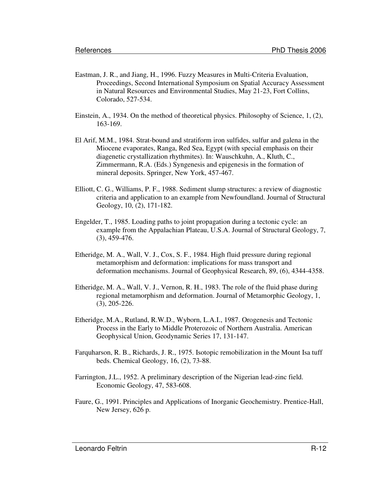- Eastman, J. R., and Jiang, H., 1996. Fuzzy Measures in Multi-Criteria Evaluation, Proceedings, Second International Symposium on Spatial Accuracy Assessment in Natural Resources and Environmental Studies, May 21-23, Fort Collins, Colorado, 527-534.
- Einstein, A., 1934. On the method of theoretical physics. Philosophy of Science, 1, (2), 163-169.
- El Arif, M.M., 1984. Strat-bound and stratiform iron sulfides, sulfur and galena in the Miocene evaporates, Ranga, Red Sea, Egypt (with special emphasis on their diagenetic crystallization rhythmites). In: Wauschkuhn, A., Kluth, C., Zimmermann, R.A. (Eds.) Syngenesis and epigenesis in the formation of mineral deposits. Springer, New York, 457-467.
- Elliott, C. G., Williams, P. F., 1988. Sediment slump structures: a review of diagnostic criteria and application to an example from Newfoundland. Journal of Structural Geology, 10, (2), 171-182.
- Engelder, T., 1985. Loading paths to joint propagation during a tectonic cycle: an example from the Appalachian Plateau, U.S.A. Journal of Structural Geology, 7, (3), 459-476.
- Etheridge, M. A., Wall, V. J., Cox, S. F., 1984. High fluid pressure during regional metamorphism and deformation: implications for mass transport and deformation mechanisms. Journal of Geophysical Research, 89, (6), 4344-4358.
- Etheridge, M. A., Wall, V. J., Vernon, R. H., 1983. The role of the fluid phase during regional metamorphism and deformation. Journal of Metamorphic Geology, 1, (3), 205-226.
- Etheridge, M.A., Rutland, R.W.D., Wyborn, L.A.I., 1987. Orogenesis and Tectonic Process in the Early to Middle Proterozoic of Northern Australia. American Geophysical Union, Geodynamic Series 17, 131-147.
- Farquharson, R. B., Richards, J. R., 1975. Isotopic remobilization in the Mount Isa tuff beds. Chemical Geology, 16, (2), 73-88.
- Farrington, J.L., 1952. A preliminary description of the Nigerian lead-zinc field. Economic Geology, 47, 583-608.
- Faure, G., 1991. Principles and Applications of Inorganic Geochemistry. Prentice-Hall, New Jersey, 626 p.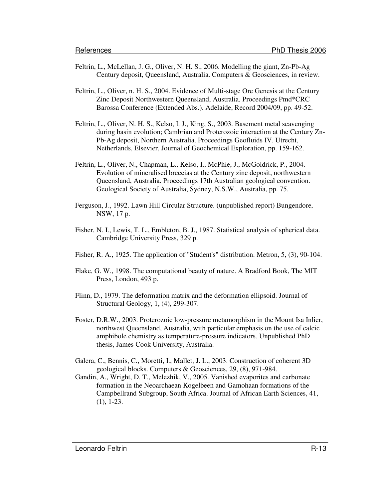- Feltrin, L., McLellan, J. G., Oliver, N. H. S., 2006. Modelling the giant, Zn-Pb-Ag Century deposit, Queensland, Australia. Computers & Geosciences, in review.
- Feltrin, L., Oliver, n. H. S., 2004. Evidence of Multi-stage Ore Genesis at the Century Zinc Deposit Northwestern Queensland, Australia. Proceedings Pmd\*CRC Barossa Conference (Extended Abs.). Adelaide, Record 2004/09, pp. 49-52.
- Feltrin, L., Oliver, N. H. S., Kelso, I. J., King, S., 2003. Basement metal scavenging during basin evolution; Cambrian and Proterozoic interaction at the Century Zn-Pb-Ag deposit, Northern Australia. Proceedings Geofluids IV. Utrecht, Netherlands, Elsevier, Journal of Geochemical Exploration, pp. 159-162.
- Feltrin, L., Oliver, N., Chapman, L., Kelso, I., McPhie, J., McGoldrick, P., 2004. Evolution of mineralised breccias at the Century zinc deposit, northwestern Queensland, Australia. Proceedings 17th Australian geological convention. Geological Society of Australia, Sydney, N.S.W., Australia, pp. 75.
- Ferguson, J., 1992. Lawn Hill Circular Structure. (unpublished report) Bungendore, NSW, 17 p.
- Fisher, N. I., Lewis, T. L., Embleton, B. J., 1987. Statistical analysis of spherical data. Cambridge University Press, 329 p.
- Fisher, R. A., 1925. The application of "Student's" distribution. Metron, 5, (3), 90-104.
- Flake, G. W., 1998. The computational beauty of nature. A Bradford Book, The MIT Press, London, 493 p.
- Flinn, D., 1979. The deformation matrix and the deformation ellipsoid. Journal of Structural Geology, 1, (4), 299-307.
- Foster, D.R.W., 2003. Proterozoic low-pressure metamorphism in the Mount Isa Inlier, northwest Queensland, Australia, with particular emphasis on the use of calcic amphibole chemistry as temperature-pressure indicators. Unpublished PhD thesis, James Cook University, Australia.
- Galera, C., Bennis, C., Moretti, I., Mallet, J. L., 2003. Construction of coherent 3D geological blocks. Computers & Geosciences, 29, (8), 971-984.
- Gandin, A., Wright, D. T., Melezhik, V., 2005. Vanished evaporites and carbonate formation in the Neoarchaean Kogelbeen and Gamohaan formations of the Campbellrand Subgroup, South Africa. Journal of African Earth Sciences, 41, (1), 1-23.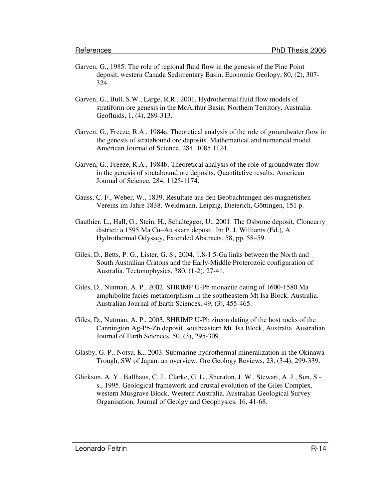- Garven, G., 1985. The role of regional fluid flow in the genesis of the Pine Point deposit, western Canada Sedimentary Basin. Economic Geology, 80, (2), 307- 324.
- Garven, G., Bull, S.W., Large, R.R., 2001. Hydrothermal fluid flow models of stratiform ore genesis in the McArthur Basin, Northern Territory, Australia. Geofluids, 1, (4), 289-313.
- Garven, G., Freeze, R.A., 1984a. Theoretical analysis of the role of groundwater flow in the genesis of stratabound ore deposits. Mathematical and numerical model. American Journal of Science, 284, 1085 1124.
- Garven, G., Freeze, R.A., 1984b. Theoretical analysis of the role of groundwater flow in the genesis of stratabound ore deposits. Quantitative results. American Journal of Science, 284, 1125-1174.
- Gauss, C. F., Weber, W., 1839. Resultate aus den Beobachtungen des magnetishen Vereins im Jahre 1838. Weidmann, Leipzig, Dieterich, Göttingen, 151 p.
- Gauthier, L., Hall, G., Stein, H., Schaltegger, U., 2001. The Osborne deposit, Cloncurry district: a 1595 Ma Cu–Au skarn deposit. In: P. J. Williams (Ed.), A Hydrothermal Odyssey, Extended Abstracts. 58, pp. 58–59.
- Giles, D., Betts, P. G., Lister, G. S., 2004. 1.8-1.5-Ga links between the North and South Australian Cratons and the Early-Middle Proterozoic configuration of Australia. Tectonophysics, 380, (1-2), 27-41.
- Giles, D., Nutman, A. P., 2002. SHRIMP U-Pb monazite dating of 1600-1580 Ma amphibolite facies metamorphism in the southeastern Mt Isa Block, Australia. Australian Journal of Earth Sciences, 49, (3), 455-465.
- Giles, D., Nutman, A. P., 2003. SHRIMP U-Pb zircon dating of the host rocks of the Cannington Ag-Pb-Zn deposit, southeastern Mt. Isa Block, Australia. Australian Journal of Earth Sciences, 50, (3), 295-309.
- Glasby, G. P., Notsu, K., 2003. Submarine hydrothermal mineralization in the Okinawa Trough, SW of Japan: an overview. Ore Geology Reviews, 23, (3-4), 299-339.
- Glickson, A. Y., Ballhaus, C. J., Clarke, G. L., Sheraton, J. W., Stewart, A. J., Sun, S. s., 1995. Geological framework and crustal evolution of the Giles Complex, western Musgrave Block, Western Australia. Australian Geological Survey Organisation, Journal of Geolgy and Geophysics, 16, 41-68.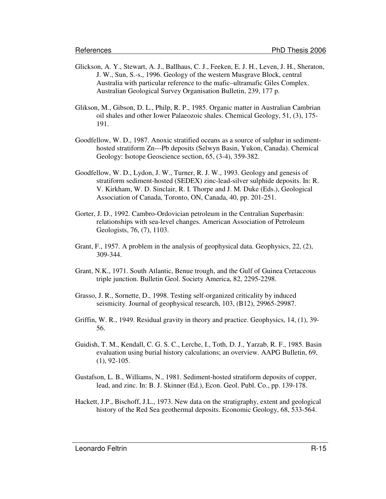- Glickson, A. Y., Stewart, A. J., Ballhaus, C. J., Feeken, E. J. H., Leven, J. H., Sheraton, J. W., Sun, S.-s., 1996. Geology of the western Musgrave Block, central Australia with particular reference to the mafic–ultramafic Giles Complex. Australian Geological Survey Organisation Bulletin, 239, 177 p.
- Glikson, M., Gibson, D. L., Philp, R. P., 1985. Organic matter in Australian Cambrian oil shales and other Iower Palaeozoic shales. Chemical Geology, 51, (3), 175- 191.
- Goodfellow, W. D., 1987. Anoxic stratified oceans as a source of sulphur in sedimenthosted stratiform Zn---Pb deposits (Selwyn Basin, Yukon, Canada). Chemical Geology: Isotope Geoscience section, 65, (3-4), 359-382.
- Goodfellow, W. D., Lydon, J. W., Turner, R. J. W., 1993. Geology and genesis of stratiform sediment-hosted (SEDEX) zinc-lead-silver sulphide deposits. In: R. V. Kirkham, W. D. Sinclair, R. I. Thorpe and J. M. Duke (Eds.), Geological Association of Canada, Toronto, ON, Canada, 40, pp. 201-251.
- Gorter, J. D., 1992. Cambro-Ordovician petroleum in the Centralian Superbasin: relationships with sea-level changes. American Association of Petroleum Geologists, 76, (7), 1103.
- Grant, F., 1957. A problem in the analysis of geophysical data. Geophysics, 22, (2), 309-344.
- Grant, N.K., 1971. South Atlantic, Benue trough, and the Gulf of Guinea Cretaceous triple junction. Bulletin Geol. Society America, 82, 2295-2298.
- Grasso, J. R., Sornette, D., 1998. Testing self-organized criticality by induced seismicity. Journal of geophysical research, 103, (B12), 29965-29987.
- Griffin, W. R., 1949. Residual gravity in theory and practice. Geophysics, 14, (1), 39- 56.
- Guidish, T. M., Kendall, C. G. S. C., Lerche, I., Toth, D. J., Yarzab, R. F., 1985. Basin evaluation using burial history calculations; an overview. AAPG Bulletin, 69, (1), 92-105.
- Gustafson, L. B., Williams, N., 1981. Sediment-hosted stratiform deposits of copper, lead, and zinc. In: B. J. Skinner (Ed.), Econ. Geol. Publ. Co., pp. 139-178.
- Hackett, J.P., Bischoff, J.L., 1973. New data on the stratigraphy, extent and geological history of the Red Sea geothermal deposits. Economic Geology, 68, 533-564.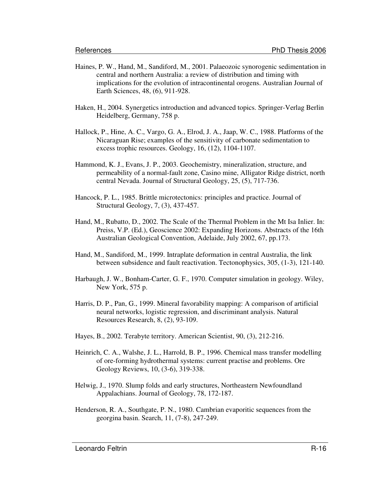- Haines, P. W., Hand, M., Sandiford, M., 2001. Palaeozoic synorogenic sedimentation in central and northern Australia: a review of distribution and timing with implications for the evolution of intracontinental orogens. Australian Journal of Earth Sciences, 48, (6), 911-928.
- Haken, H., 2004. Synergetics introduction and advanced topics. Springer-Verlag Berlin Heidelberg, Germany, 758 p.
- Hallock, P., Hine, A. C., Vargo, G. A., Elrod, J. A., Jaap, W. C., 1988. Platforms of the Nicaraguan Rise; examples of the sensitivity of carbonate sedimentation to excess trophic resources. Geology, 16, (12), 1104-1107.
- Hammond, K. J., Evans, J. P., 2003. Geochemistry, mineralization, structure, and permeability of a normal-fault zone, Casino mine, Alligator Ridge district, north central Nevada. Journal of Structural Geology, 25, (5), 717-736.
- Hancock, P. L., 1985. Brittle microtectonics: principles and practice. Journal of Structural Geology, 7, (3), 437-457.
- Hand, M., Rubatto, D., 2002. The Scale of the Thermal Problem in the Mt Isa Inlier. In: Preiss, V.P. (Ed.), Geoscience 2002: Expanding Horizons. Abstracts of the 16th Australian Geological Convention, Adelaide, July 2002, 67, pp.173.
- Hand, M., Sandiford, M., 1999. Intraplate deformation in central Australia, the link between subsidence and fault reactivation. Tectonophysics, 305, (1-3), 121-140.
- Harbaugh, J. W., Bonham-Carter, G. F., 1970. Computer simulation in geology. Wiley, New York, 575 p.
- Harris, D. P., Pan, G., 1999. Mineral favorability mapping: A comparison of artificial neural networks, logistic regression, and discriminant analysis. Natural Resources Research, 8, (2), 93-109.
- Hayes, B., 2002. Terabyte territory. American Scientist, 90, (3), 212-216.
- Heinrich, C. A., Walshe, J. L., Harrold, B. P., 1996. Chemical mass transfer modelling of ore-forming hydrothermal systems: current practise and problems. Ore Geology Reviews, 10, (3-6), 319-338.
- Helwig, J., 1970. Slump folds and early structures, Northeastern Newfoundland Appalachians. Journal of Geology, 78, 172-187.
- Henderson, R. A., Southgate, P. N., 1980. Cambrian evaporitic sequences from the georgina basin. Search, 11, (7-8), 247-249.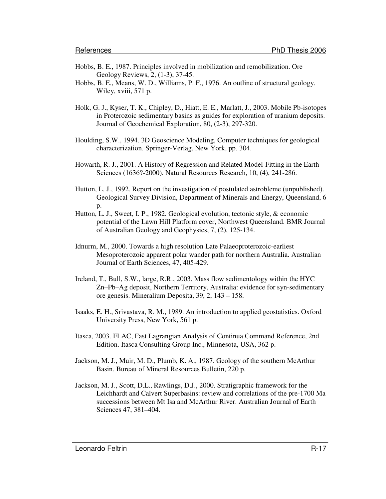- Hobbs, B. E., 1987. Principles involved in mobilization and remobilization. Ore Geology Reviews, 2, (1-3), 37-45.
- Hobbs, B. E., Means, W. D., Williams, P. F., 1976. An outline of structural geology. Wiley, xviii, 571 p.
- Holk, G. J., Kyser, T. K., Chipley, D., Hiatt, E. E., Marlatt, J., 2003. Mobile Pb-isotopes in Proterozoic sedimentary basins as guides for exploration of uranium deposits. Journal of Geochemical Exploration, 80, (2-3), 297-320.
- Houlding, S.W., 1994. 3D Geoscience Modeling, Computer techniques for geological characterization. Springer-Verlag, New York, pp. 304.
- Howarth, R. J., 2001. A History of Regression and Related Model-Fitting in the Earth Sciences (1636?-2000). Natural Resources Research, 10, (4), 241-286.
- Hutton, L. J., 1992. Report on the investigation of postulated astrobleme (unpublished). Geological Survey Division, Department of Minerals and Energy, Queensland, 6 p.
- Hutton, L. J., Sweet, I. P., 1982. Geological evolution, tectonic style, & economic potential of the Lawn Hill Platform cover, Northwest Queensland. BMR Journal of Australian Geology and Geophysics, 7, (2), 125-134.
- Idnurm, M., 2000. Towards a high resolution Late Palaeoproterozoic-earliest Mesoproterozoic apparent polar wander path for northern Australia. Australian Journal of Earth Sciences, 47, 405-429.
- Ireland, T., Bull, S.W., large, R.R., 2003. Mass flow sedimentology within the HYC Zn–Pb–Ag deposit, Northern Territory, Australia: evidence for syn-sedimentary ore genesis. Mineralium Deposita, 39, 2, 143 – 158.
- Isaaks, E. H., Srivastava, R. M., 1989. An introduction to applied geostatistics. Oxford University Press, New York, 561 p.
- Itasca, 2003. FLAC, Fast Lagrangian Analysis of Continua Command Reference, 2nd Edition. Itasca Consulting Group Inc., Minnesota, USA, 362 p.
- Jackson, M. J., Muir, M. D., Plumb, K. A., 1987. Geology of the southern McArthur Basin. Bureau of Mineral Resources Bulletin, 220 p.
- Jackson, M. J., Scott, D.L., Rawlings, D.J., 2000. Stratigraphic framework for the Leichhardt and Calvert Superbasins: review and correlations of the pre-1700 Ma successions between Mt Isa and McArthur River. Australian Journal of Earth Sciences 47, 381–404.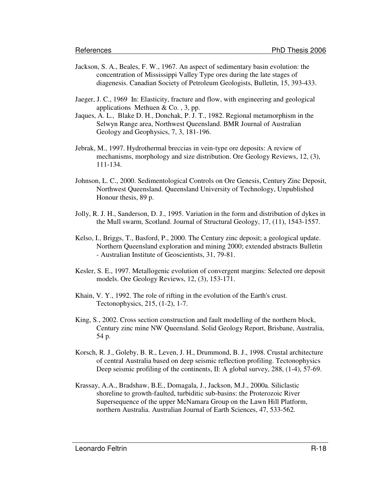- Jackson, S. A., Beales, F. W., 1967. An aspect of sedimentary basin evolution: the concentration of Mississippi Valley Type ores during the late stages of diagenesis. Canadian Society of Petroleum Geologists, Bulletin, 15, 393-433.
- Jaeger, J. C., 1969 In: Elasticity, fracture and flow, with engineering and geological applications Methuen  $& Co.$ , 3, pp.
- Jaques, A. L., Blake D. H., Donchak, P. J. T., 1982. Regional metamorphism in the Selwyn Range area, Northwest Queensland. BMR Journal of Australian Geology and Geophysics, 7, 3, 181-196.
- Jebrak, M., 1997. Hydrothermal breccias in vein-type ore deposits: A review of mechanisms, morphology and size distribution. Ore Geology Reviews, 12, (3), 111-134.
- Johnson, L. C., 2000. Sedimentological Controls on Ore Genesis, Century Zinc Deposit, Northwest Queensland. Queensland University of Technology, Unpublished Honour thesis, 89 p.
- Jolly, R. J. H., Sanderson, D. J., 1995. Variation in the form and distribution of dykes in the Mull swarm, Scotland. Journal of Structural Geology, 17, (11), 1543-1557.
- Kelso, I., Briggs, T., Basford, P., 2000. The Century zinc deposit; a geological update. Northern Queensland exploration and mining 2000; extended abstracts Bulletin - Australian Institute of Geoscientists, 31, 79-81.
- Kesler, S. E., 1997. Metallogenic evolution of convergent margins: Selected ore deposit models. Ore Geology Reviews, 12, (3), 153-171.
- Khain, V. Y., 1992. The role of rifting in the evolution of the Earth's crust. Tectonophysics, 215, (1-2), 1-7.
- King, S., 2002. Cross section construction and fault modelling of the northern block, Century zinc mine NW Queensland. Solid Geology Report, Brisbane, Australia, 54 p.
- Korsch, R. J., Goleby, B. R., Leven, J. H., Drummond, B. J., 1998. Crustal architecture of central Australia based on deep seismic reflection profiling. Tectonophysics Deep seismic profiling of the continents, II: A global survey, 288, (1-4), 57-69.
- Krassay, A.A., Bradshaw, B.E., Domagala, J., Jackson, M.J., 2000a. Siliclastic shoreline to growth-faulted, turbiditic sub-basins: the Proterozoic River Supersequence of the upper McNamara Group on the Lawn Hill Platform, northern Australia. Australian Journal of Earth Sciences, 47, 533-562.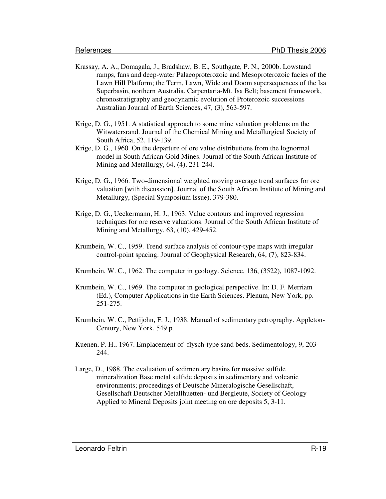- Krassay, A. A., Domagala, J., Bradshaw, B. E., Southgate, P. N., 2000b. Lowstand ramps, fans and deep-water Palaeoproterozoic and Mesoproterozoic facies of the Lawn Hill Platform; the Term, Lawn, Wide and Doom supersequences of the Isa Superbasin, northern Australia. Carpentaria-Mt. Isa Belt; basement framework, chronostratigraphy and geodynamic evolution of Proterozoic successions Australian Journal of Earth Sciences, 47, (3), 563-597.
- Krige, D. G., 1951. A statistical approach to some mine valuation problems on the Witwatersrand. Journal of the Chemical Mining and Metallurgical Society of South Africa, 52, 119-139.
- Krige, D. G., 1960. On the departure of ore value distributions from the lognormal model in South African Gold Mines. Journal of the South African Institute of Mining and Metallurgy, 64, (4), 231-244.
- Krige, D. G., 1966. Two-dimensional weighted moving average trend surfaces for ore valuation [with discussion]. Journal of the South African Institute of Mining and Metallurgy, (Special Symposium Issue), 379-380.
- Krige, D. G., Ueckermann, H. J., 1963. Value contours and improved regression techniques for ore reserve valuations. Journal of the South African Institute of Mining and Metallurgy, 63, (10), 429-452.
- Krumbein, W. C., 1959. Trend surface analysis of contour-type maps with irregular control-point spacing. Journal of Geophysical Research, 64, (7), 823-834.
- Krumbein, W. C., 1962. The computer in geology. Science, 136, (3522), 1087-1092.
- Krumbein, W. C., 1969. The computer in geological perspective. In: D. F. Merriam (Ed.), Computer Applications in the Earth Sciences. Plenum, New York, pp. 251-275.
- Krumbein, W. C., Pettijohn, F. J., 1938. Manual of sedimentary petrography. Appleton-Century, New York, 549 p.
- Kuenen, P. H., 1967. Emplacement of flysch-type sand beds. Sedimentology, 9, 203- 244.
- Large, D., 1988. The evaluation of sedimentary basins for massive sulfide mineralization Base metal sulfide deposits in sedimentary and volcanic environments; proceedings of Deutsche Mineralogische Gesellschaft, Gesellschaft Deutscher Metallhuetten- und Bergleute, Society of Geology Applied to Mineral Deposits joint meeting on ore deposits 5, 3-11.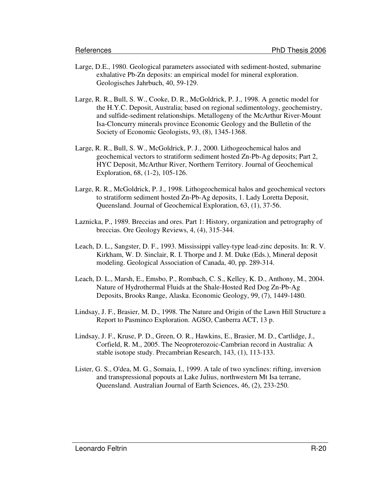- Large, D.E., 1980. Geological parameters associated with sediment-hosted, submarine exhalative Pb-Zn deposits: an empirical model for mineral exploration. Geologisches Jahrbuch, 40, 59-129.
- Large, R. R., Bull, S. W., Cooke, D. R., McGoldrick, P. J., 1998. A genetic model for the H.Y.C. Deposit, Australia; based on regional sedimentology, geochemistry, and sulfide-sediment relationships. Metallogeny of the McArthur River-Mount Isa-Cloncurry minerals province Economic Geology and the Bulletin of the Society of Economic Geologists, 93, (8), 1345-1368.
- Large, R. R., Bull, S. W., McGoldrick, P. J., 2000. Lithogeochemical halos and geochemical vectors to stratiform sediment hosted Zn-Pb-Ag deposits; Part 2, HYC Deposit, McArthur River, Northern Territory. Journal of Geochemical Exploration, 68, (1-2), 105-126.
- Large, R. R., McGoldrick, P. J., 1998. Lithogeochemical halos and geochemical vectors to stratiform sediment hosted Zn-Pb-Ag deposits, 1. Lady Loretta Deposit, Queensland. Journal of Geochemical Exploration, 63, (1), 37-56.
- Laznicka, P., 1989. Breccias and ores. Part 1: History, organization and petrography of breccias. Ore Geology Reviews, 4, (4), 315-344.
- Leach, D. L., Sangster, D. F., 1993. Mississippi valley-type lead-zinc deposits. In: R. V. Kirkham, W. D. Sinclair, R. I. Thorpe and J. M. Duke (Eds.), Mineral deposit modeling. Geological Association of Canada, 40, pp. 289-314.
- Leach, D. L., Marsh, E., Emsbo, P., Rombach, C. S., Kelley, K. D., Anthony, M., 2004. Nature of Hydrothermal Fluids at the Shale-Hosted Red Dog Zn-Pb-Ag Deposits, Brooks Range, Alaska. Economic Geology, 99, (7), 1449-1480.
- Lindsay, J. F., Brasier, M. D., 1998. The Nature and Origin of the Lawn Hill Structure a Report to Pasminco Exploration. AGSO, Canberra ACT, 13 p.
- Lindsay, J. F., Kruse, P. D., Green, O. R., Hawkins, E., Brasier, M. D., Cartlidge, J., Corfield, R. M., 2005. The Neoproterozoic-Cambrian record in Australia: A stable isotope study. Precambrian Research, 143, (1), 113-133.
- Lister, G. S., O'dea, M. G., Somaia, I., 1999. A tale of two synclines: rifting, inversion and transpressional popouts at Lake Julius, northwestern Mt Isa terrane, Queensland. Australian Journal of Earth Sciences, 46, (2), 233-250.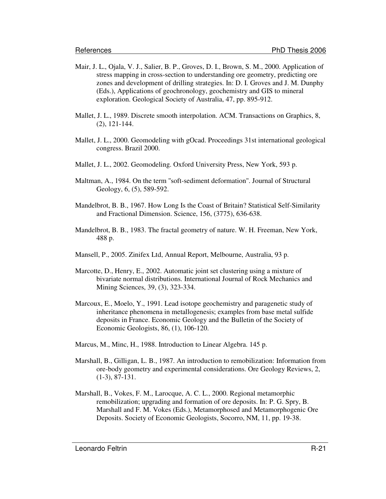- Mair, J. L., Ojala, V. J., Salier, B. P., Groves, D. I., Brown, S. M., 2000. Application of stress mapping in cross-section to understanding ore geometry, predicting ore zones and development of drilling strategies. In: D. I. Groves and J. M. Dunphy (Eds.), Applications of geochronology, geochemistry and GIS to mineral exploration. Geological Society of Australia, 47, pp. 895-912.
- Mallet, J. L., 1989. Discrete smooth interpolation. ACM. Transactions on Graphics, 8, (2), 121-144.
- Mallet, J. L., 2000. Geomodeling with gOcad. Proceedings 31st international geological congress. Brazil 2000.
- Mallet, J. L., 2002. Geomodeling. Oxford University Press, New York, 593 p.
- Maltman, A., 1984. On the term ''soft-sediment deformation''. Journal of Structural Geology, 6, (5), 589-592.
- Mandelbrot, B. B., 1967. How Long Is the Coast of Britain? Statistical Self-Similarity and Fractional Dimension. Science, 156, (3775), 636-638.
- Mandelbrot, B. B., 1983. The fractal geometry of nature. W. H. Freeman, New York, 488 p.
- Mansell, P., 2005. Zinifex Ltd, Annual Report, Melbourne, Australia, 93 p.
- Marcotte, D., Henry, E., 2002. Automatic joint set clustering using a mixture of bivariate normal distributions. International Journal of Rock Mechanics and Mining Sciences, 39, (3), 323-334.
- Marcoux, E., Moelo, Y., 1991. Lead isotope geochemistry and paragenetic study of inheritance phenomena in metallogenesis; examples from base metal sulfide deposits in France. Economic Geology and the Bulletin of the Society of Economic Geologists, 86, (1), 106-120.
- Marcus, M., Minc, H., 1988. Introduction to Linear Algebra. 145 p.
- Marshall, B., Gilligan, L. B., 1987. An introduction to remobilization: Information from ore-body geometry and experimental considerations. Ore Geology Reviews, 2, (1-3), 87-131.
- Marshall, B., Vokes, F. M., Larocque, A. C. L., 2000. Regional metamorphic remobilization; upgrading and formation of ore deposits. In: P. G. Spry, B. Marshall and F. M. Vokes (Eds.), Metamorphosed and Metamorphogenic Ore Deposits. Society of Economic Geologists, Socorro, NM, 11, pp. 19-38.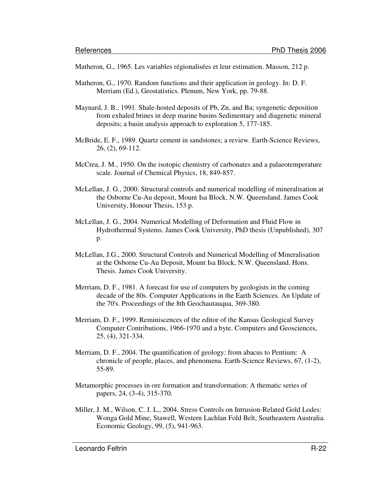Matheron, G., 1965. Les variables régionalisées et leur estimation. Masson, 212 p.

- Matheron, G., 1970. Random functions and their application in geology. In: D. F. Merriam (Ed.), Geostatistics. Plenum, New York, pp. 79-88.
- Maynard, J. B., 1991. Shale-hosted deposits of Pb, Zn, and Ba; syngenetic deposition from exhaled brines in deep marine basins Sedimentary and diagenetic mineral deposits; a basin analysis approach to exploration 5, 177-185.
- McBride, E. F., 1989. Quartz cement in sandstones; a review. Earth-Science Reviews, 26, (2), 69-112.
- McCrea, J. M., 1950. On the isotopic chemistry of carbonates and a palaeotemperature scale. Journal of Chemical Physics, 18, 849-857.
- McLellan, J. G., 2000. Structural controls and numerical modelling of mineralisation at the Osborne Cu-Au deposit, Mount Isa Block, N.W. Queensland. James Cook University, Honour Thesis, 153 p.
- McLellan, J. G., 2004. Numerical Modelling of Deformation and Fluid Flow in Hydrothermal Systems. James Cook University, PhD thesis (Unpublished), 307 p.
- McLellan, J.G., 2000. Structural Controls and Numerical Modelling of Mineralisation at the Osborne Cu-Au Deposit, Mount Isa Block, N.W. Queensland. Hons. Thesis. James Cook University.
- Merriam, D. F., 1981. A forecast for use of computers by geologists in the coming decade of the 80s. Computer Applications in the Earth Sciences. An Update of the 70's. Proceedings of the 8th Geochautauqua, 369-380.
- Merriam, D. F., 1999. Reminiscences of the editor of the Kansas Geological Survey Computer Contributions, 1966-1970 and a byte. Computers and Geosciences, 25, (4), 321-334.
- Merriam, D. F., 2004. The quantification of geology: from abacus to Pentium: A chronicle of people, places, and phenomena. Earth-Science Reviews, 67, (1-2), 55-89.
- Metamorphic processes in ore formation and transformation: A thematic series of papers, 24, (3-4), 315-370.
- Miller, J. M., Wilson, C. J. L., 2004. Stress Controls on Intrusion-Related Gold Lodes: Wonga Gold Mine, Stawell, Western Lachlan Fold Belt, Southeastern Australia. Economic Geology, 99, (5), 941-963.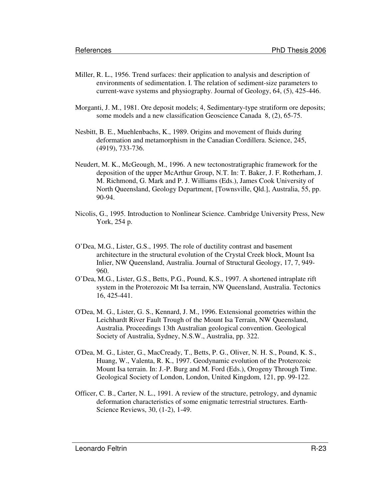- Miller, R. L., 1956. Trend surfaces: their application to analysis and description of environments of sedimentation. I. The relation of sediment-size parameters to current-wave systems and physiography. Journal of Geology, 64, (5), 425-446.
- Morganti, J. M., 1981. Ore deposit models; 4, Sedimentary-type stratiform ore deposits; some models and a new classification Geoscience Canada 8, (2), 65-75.
- Nesbitt, B. E., Muehlenbachs, K., 1989. Origins and movement of fluids during deformation and metamorphism in the Canadian Cordillera. Science, 245, (4919), 733-736.
- Neudert, M. K., McGeough, M., 1996. A new tectonostratigraphic framework for the deposition of the upper McArthur Group, N.T. In: T. Baker, J. F. Rotherham, J. M. Richmond, G. Mark and P. J. Williams (Eds.), James Cook University of North Queensland, Geology Department, [Townsville, Qld.], Australia, 55, pp. 90-94.
- Nicolis, G., 1995. Introduction to Nonlinear Science. Cambridge University Press, New York, 254 p.
- O'Dea, M.G., Lister, G.S., 1995. The role of ductility contrast and basement architecture in the structural evolution of the Crystal Creek block, Mount Isa Inlier, NW Queensland, Australia. Journal of Structural Geology, 17, 7, 949- 960.
- O'Dea, M.G., Lister, G.S., Betts, P.G., Pound, K.S., 1997. A shortened intraplate rift system in the Proterozoic Mt Isa terrain, NW Queensland, Australia. Tectonics 16, 425-441.
- O'Dea, M. G., Lister, G. S., Kennard, J. M., 1996. Extensional geometries within the Leichhardt River Fault Trough of the Mount Isa Terrain, NW Queensland, Australia. Proceedings 13th Australian geological convention. Geological Society of Australia, Sydney, N.S.W., Australia, pp. 322.
- O'Dea, M. G., Lister, G., MacCready, T., Betts, P. G., Oliver, N. H. S., Pound, K. S., Huang, W., Valenta, R. K., 1997. Geodynamic evolution of the Proterozoic Mount Isa terrain. In: J.-P. Burg and M. Ford (Eds.), Orogeny Through Time. Geological Society of London, London, United Kingdom, 121, pp. 99-122.
- Officer, C. B., Carter, N. L., 1991. A review of the structure, petrology, and dynamic deformation characteristics of some enigmatic terrestrial structures. Earth-Science Reviews, 30, (1-2), 1-49.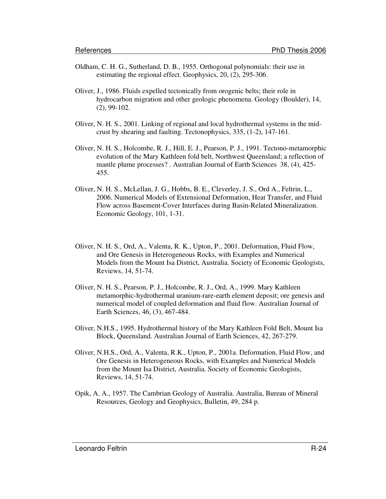- Oldham, C. H. G., Sutherland, D. B., 1955. Orthogonal polynomials: their use in estimating the regional effect. Geophysics, 20, (2), 295-306.
- Oliver, J., 1986. Fluids expelled tectonically from orogenic belts; their role in hydrocarbon migration and other geologic phenomena. Geology (Boulder), 14, (2), 99-102.
- Oliver, N. H. S., 2001. Linking of regional and local hydrothermal systems in the midcrust by shearing and faulting. Tectonophysics, 335, (1-2), 147-161.
- Oliver, N. H. S., Holcombe, R. J., Hill, E. J., Pearson, P. J., 1991. Tectono-metamorphic evolution of the Mary Kathleen fold belt, Northwest Queensland; a reflection of mantle plume processes? . Australian Journal of Earth Sciences 38, (4), 425- 455.
- Oliver, N. H. S., McLellan, J. G., Hobbs, B. E., Cleverley, J. S., Ord A., Feltrin, L., 2006. Numerical Models of Extensional Deformation, Heat Transfer, and Fluid Flow across Basement-Cover Interfaces during Basin-Related Mineralization. Economic Geology, 101, 1-31.
- Oliver, N. H. S., Ord, A., Valenta, R. K., Upton, P., 2001. Deformation, Fluid Flow, and Ore Genesis in Heterogeneous Rocks, with Examples and Numerical Models from the Mount Isa District, Australia. Society of Economic Geologists, Reviews, 14, 51-74.
- Oliver, N. H. S., Pearson, P. J., Holcombe, R. J., Ord, A., 1999. Mary Kathleen metamorphic-hydrothermal uranium-rare-earth element deposit; ore genesis and numerical model of coupled deformation and fluid flow. Australian Journal of Earth Sciences, 46, (3), 467-484.
- Oliver, N.H.S., 1995. Hydrothermal history of the Mary Kathleen Fold Belt, Mount Isa Block, Queensland. Australian Journal of Earth Sciences, 42, 267-279.
- Oliver, N.H.S., Ord, A., Valenta, R.K., Upton, P., 2001a. Deformation, Fluid Flow, and Ore Genesis in Heterogeneous Rocks, with Examples and Numerical Models from the Mount Isa District, Australia. Society of Economic Geologists, Reviews, 14, 51-74.
- Opik, A. A., 1957. The Cambrian Geology of Australia. Australia, Bureau of Mineral Resources, Geology and Geophysics, Bulletin, 49, 284 p.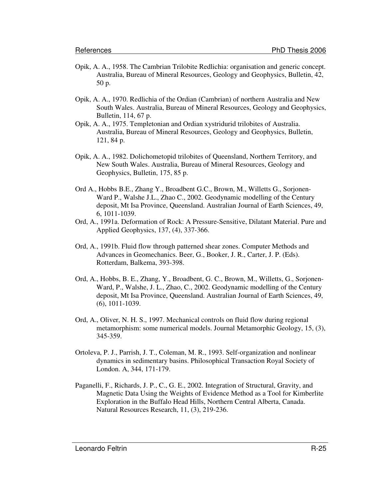- Opik, A. A., 1958. The Cambrian Trilobite Redlichia: organisation and generic concept. Australia, Bureau of Mineral Resources, Geology and Geophysics, Bulletin, 42, 50 p.
- Opik, A. A., 1970. Redlichia of the Ordian (Cambrian) of northern Australia and New South Wales. Australia, Bureau of Mineral Resources, Geology and Geophysics, Bulletin, 114, 67 p.
- Opik, A. A., 1975. Templetonian and Ordian xystridurid trilobites of Australia. Australia, Bureau of Mineral Resources, Geology and Geophysics, Bulletin, 121, 84 p.
- Opik, A. A., 1982. Dolichometopid trilobites of Queensland, Northern Territory, and New South Wales. Australia, Bureau of Mineral Resources, Geology and Geophysics, Bulletin, 175, 85 p.
- Ord A., Hobbs B.E., Zhang Y., Broadbent G.C., Brown, M., Willetts G., Sorjonen-Ward P., Walshe J.L., Zhao C., 2002. Geodynamic modelling of the Century deposit, Mt Isa Province, Queensland. Australian Journal of Earth Sciences, 49, 6, 1011-1039.
- Ord, A., 1991a. Deformation of Rock: A Pressure-Sensitive, Dilatant Material. Pure and Applied Geophysics, 137, (4), 337-366.
- Ord, A., 1991b. Fluid flow through patterned shear zones. Computer Methods and Advances in Geomechanics. Beer, G., Booker, J. R., Carter, J. P. (Eds). Rotterdam, Balkema, 393-398.
- Ord, A., Hobbs, B. E., Zhang, Y., Broadbent, G. C., Brown, M., Willetts, G., Sorjonen-Ward, P., Walshe, J. L., Zhao, C., 2002. Geodynamic modelling of the Century deposit, Mt Isa Province, Queensland. Australian Journal of Earth Sciences, 49, (6), 1011-1039.
- Ord, A., Oliver, N. H. S., 1997. Mechanical controls on fluid flow during regional metamorphism: some numerical models. Journal Metamorphic Geology, 15, (3), 345-359.
- Ortoleva, P. J., Parrish, J. T., Coleman, M. R., 1993. Self-organization and nonlinear dynamics in sedimentary basins. Philosophical Transaction Royal Society of London. A, 344, 171-179.
- Paganelli, F., Richards, J. P., C., G. E., 2002. Integration of Structural, Gravity, and Magnetic Data Using the Weights of Evidence Method as a Tool for Kimberlite Exploration in the Buffalo Head Hills, Northern Central Alberta, Canada. Natural Resources Research, 11, (3), 219-236.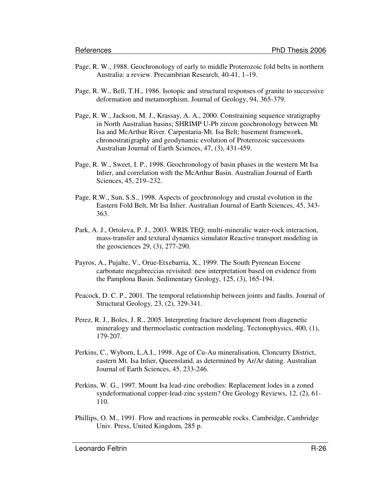- Page, R. W., 1988. Geochronology of early to middle Proterozoic fold belts in northern Australia: a review. Precambrian Research, 40-41, 1–19.
- Page, R. W., Bell, T.H., 1986. Isotopic and structural responses of granite to successive deformation and metamorphism. Journal of Geology, 94, 365-379.
- Page, R. W., Jackson, M. J., Krassay, A. A., 2000. Constraining sequence stratigraphy in North Australian basins; SHRIMP U-Pb zircon geochronology between Mt Isa and McArthur River. Carpentaria-Mt. Isa Belt; basement framework, chronostratigraphy and geodynamic evolution of Proterozoic successions Australian Journal of Earth Sciences, 47, (3), 431-459.
- Page, R. W., Sweet, I. P., 1998. Geochronology of basin phases in the western Mt Isa Inlier, and correlation with the McArthur Basin. Australian Journal of Earth Sciences, 45, 219–232.
- Page, R.W., Sun, S.S., 1998. Aspects of geochronology and crustal evolution in the Eastern Fold Belt, Mt Isa Inlier. Australian Journal of Earth Sciences, 45, 343- 363.
- Park, A. J., Ortoleva, P. J., 2003. WRIS.TEQ; multi-mineralic water-rock interaction, mass-transfer and textural dynamics simulator Reactive transport modeling in the geosciences 29, (3), 277-290.
- Payros, A., Pujalte, V., Orue-Etxebarria, X., 1999. The South Pyrenean Eocene carbonate megabreccias revisited: new interpretation based on evidence from the Pamplona Basin. Sedimentary Geology, 125, (3), 165-194.
- Peacock, D. C. P., 2001. The temporal relationship between joints and faults. Journal of Structural Geology, 23, (2), 329-341.
- Perez, R. J., Boles, J. R., 2005. Interpreting fracture development from diagenetic mineralogy and thermoelastic contraction modeling. Tectonophysics, 400, (1), 179-207.
- Perkins, C., Wyborn, L.A.I., 1998. Age of Cu-Au mineralisation, Cloncurry District, eastern Mt. Isa Inlier, Queensland, as determined by Ar/Ar dating. Australian Journal of Earth Sciences, 45, 233-246.
- Perkins, W. G., 1997. Mount Isa lead-zinc orebodies: Replacement lodes in a zoned syndeformational copper-lead-zinc system? Ore Geology Reviews, 12, (2), 61- 110.
- Phillips, O. M., 1991. Flow and reactions in permeable rocks. Cambridge, Cambridge Univ. Press, United Kingdom, 285 p.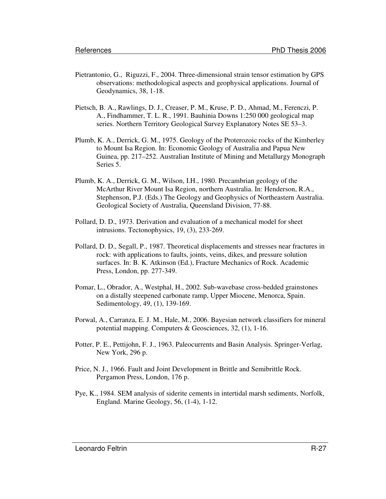- Pietrantonio, G., Riguzzi, F., 2004. Three-dimensional strain tensor estimation by GPS observations: methodological aspects and geophysical applications. Journal of Geodynamics, 38, 1-18.
- Pietsch, B. A., Rawlings, D. J., Creaser, P. M., Kruse, P. D., Ahmad, M., Ferenczi, P. A., Findhammer, T. L. R., 1991. Bauhinia Downs 1:250 000 geological map series. Northern Territory Geological Survey Explanatory Notes SE 53–3.
- Plumb, K. A., Derrick, G. M., 1975. Geology of the Proterozoic rocks of the Kimberley to Mount Isa Region. In: Economic Geology of Australia and Papua New Guinea, pp. 217–252. Australian Institute of Mining and Metallurgy Monograph Series 5.
- Plumb, K. A., Derrick, G. M., Wilson, I.H., 1980. Precambrian geology of the McArthur River Mount Isa Region, northern Australia. In: Henderson, R.A., Stephenson, P.J. (Eds.) The Geology and Geophysics of Northeastern Australia. Geological Society of Australia, Queensland Division, 77-88.
- Pollard, D. D., 1973. Derivation and evaluation of a mechanical model for sheet intrusions. Tectonophysics, 19, (3), 233-269.
- Pollard, D. D., Segall, P., 1987. Theoretical displacements and stresses near fractures in rock: with applications to faults, joints, veins, dikes, and pressure solution surfaces. In: B. K. Atkinson (Ed.), Fracture Mechanics of Rock. Academic Press, London, pp. 277-349.
- Pomar, L., Obrador, A., Westphal, H., 2002. Sub-wavebase cross-bedded grainstones on a distally steepened carbonate ramp, Upper Miocene, Menorca, Spain. Sedimentology, 49, (1), 139-169.
- Porwal, A., Carranza, E. J. M., Hale, M., 2006. Bayesian network classifiers for mineral potential mapping. Computers & Geosciences, 32, (1), 1-16.
- Potter, P. E., Pettijohn, F. J., 1963. Paleocurrents and Basin Analysis. Springer-Verlag, New York, 296 p.
- Price, N. J., 1966. Fault and Joint Development in Brittle and Semibrittle Rock. Pergamon Press, London, 176 p.
- Pye, K., 1984. SEM analysis of siderite cements in intertidal marsh sediments, Norfolk, England. Marine Geology, 56, (1-4), 1-12.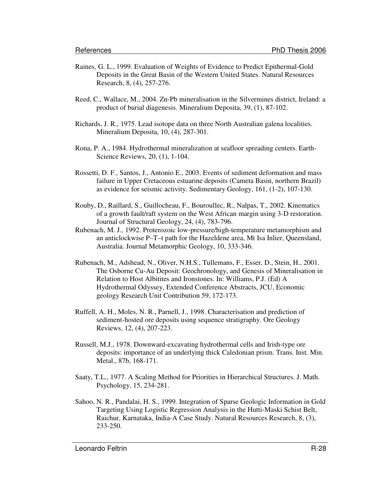- Raines, G. L., 1999. Evaluation of Weights of Evidence to Predict Epithermal-Gold Deposits in the Great Basin of the Western United States. Natural Resources Research, 8, (4), 257-276.
- Reed, C., Wallace, M., 2004. Zn-Pb mineralisation in the Silvermines district, Ireland: a product of burial diagenesis. Mineralium Deposita, 39, (1), 87-102.
- Richards, J. R., 1975. Lead isotope data on three North Australian galena localities. Mineralium Deposita, 10, (4), 287-301.
- Rona, P. A., 1984. Hydrothermal mineralization at seafloor spreading centers. Earth-Science Reviews, 20, (1), 1-104.
- Rossetti, D. F., Santos, J., Antonio E., 2003. Events of sediment deformation and mass failure in Upper Cretaceous estuarine deposits (Cameta Basin, northern Brazil) as evidence for seismic activity. Sedimentary Geology, 161, (1-2), 107-130.
- Rouby, D., Raillard, S., Guillocheau, F., Bouroullec, R., Nalpas, T., 2002. Kinematics of a growth fault/raft system on the West African margin using 3-D restoration. Journal of Structural Geology, 24, (4), 783-796.
- Rubenach, M. J., 1992. Proterozoic low-pressure/high-temperature metamorphism and an anticlockwise P–T–t path for the Hazeldene area, Mt Isa Inlier, Queensland, Australia. Journal Metamorphic Geology, 10, 333-346.
- Rubenach, M., Adshead, N., Oliver, N.H.S., Tullemans, F., Esser, D., Stein, H., 2001. The Osborne Cu-Au Deposit: Geochronology, and Genesis of Mineralisation in Relation to Host Albitites and Ironstones. In: Williams, P.J. (Ed) A Hydrothermal Odyssey, Extended Conference Abstracts, JCU, Economic geology Research Unit Contribution 59, 172-173.
- Ruffell, A. H., Moles, N. R., Parnell, J., 1998. Characterisation and prediction of sediment-hosted ore deposits using sequence stratigraphy. Ore Geology Reviews, 12, (4), 207-223.
- Russell, M.J., 1978. Downward-excavating hydrothermal cells and Irish-type ore deposits: importance of an underlying thick Caledonian prism. Trans. Inst. Min. Metal., 87b, 168-171.
- Saaty, T.L., 1977. A Scaling Method for Priorities in Hierarchical Structures. J. Math. Psychology, 15, 234-281.
- Sahoo, N. R., Pandalai, H. S., 1999. Integration of Sparse Geologic Information in Gold Targeting Using Logistic Regression Analysis in the Hutti-Maski Schist Belt, Raichur, Karnataka, India-A Case Study. Natural Resources Research, 8, (3), 233-250.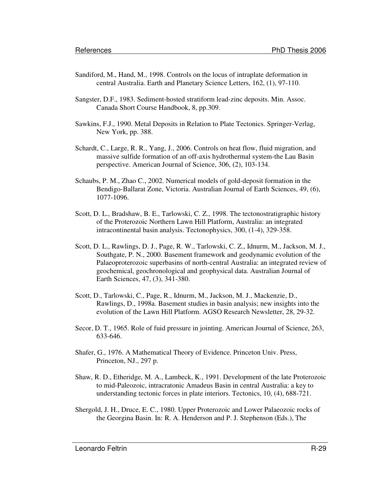- Sandiford, M., Hand, M., 1998. Controls on the locus of intraplate deformation in central Australia. Earth and Planetary Science Letters, 162, (1), 97-110.
- Sangster, D.F., 1983. Sediment-hosted stratiform lead-zinc deposits. Min. Assoc. Canada Short Course Handbook, 8, pp.309.
- Sawkins, F.J., 1990. Metal Deposits in Relation to Plate Tectonics. Springer-Verlag, New York, pp. 388.
- Schardt, C., Large, R. R., Yang, J., 2006. Controls on heat flow, fluid migration, and massive sulfide formation of an off-axis hydrothermal system-the Lau Basin perspective. American Journal of Science, 306, (2), 103-134.
- Schaubs, P. M., Zhao C., 2002. Numerical models of gold-deposit formation in the Bendigo-Ballarat Zone, Victoria. Australian Journal of Earth Sciences, 49, (6), 1077-1096.
- Scott, D. L., Bradshaw, B. E., Tarlowski, C. Z., 1998. The tectonostratigraphic history of the Proterozoic Northern Lawn Hill Platform, Australia: an integrated intracontinental basin analysis. Tectonophysics, 300, (1-4), 329-358.
- Scott, D. L., Rawlings, D. J., Page, R. W., Tarlowski, C. Z., Idnurm, M., Jackson, M. J., Southgate, P. N., 2000. Basement framework and geodynamic evolution of the Palaeoproterozoic superbasins of north-central Australia: an integrated review of geochemical, geochronological and geophysical data. Australian Journal of Earth Sciences, 47, (3), 341-380.
- Scott, D., Tarlowski, C., Page, R., Idnurm, M., Jackson, M. J., Mackenzie, D., Rawlings, D., 1998a. Basement studies in basin analysis; new insights into the evolution of the Lawn Hill Platform. AGSO Research Newsletter, 28, 29-32.
- Secor, D. T., 1965. Role of fuid pressure in jointing. American Journal of Science, 263, 633-646.
- Shafer, G., 1976. A Mathematical Theory of Evidence. Princeton Univ. Press, Princeton, NJ., 297 p.
- Shaw, R. D., Etheridge, M. A., Lambeck, K., 1991. Development of the late Proterozoic to mid-Paleozoic, intracratonic Amadeus Basin in central Australia: a key to understanding tectonic forces in plate interiors. Tectonics, 10, (4), 688-721.
- Shergold, J. H., Druce, E. C., 1980. Upper Proterozoic and Lower Palaeozoic rocks of the Georgina Basin. In: R. A. Henderson and P. J. Stephenson (Eds.), The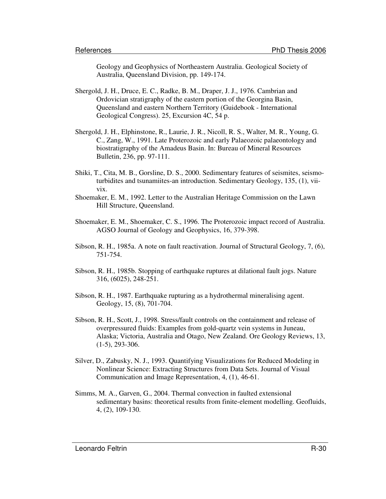Geology and Geophysics of Northeastern Australia. Geological Society of Australia, Queensland Division, pp. 149-174.

- Shergold, J. H., Druce, E. C., Radke, B. M., Draper, J. J., 1976. Cambrian and Ordovician stratigraphy of the eastern portion of the Georgina Basin, Queensland and eastern Northern Territory (Guidebook - International Geological Congress). 25, Excursion 4C, 54 p.
- Shergold, J. H., Elphinstone, R., Laurie, J. R., Nicoll, R. S., Walter, M. R., Young, G. C., Zang, W., 1991. Late Proterozoic and early Palaeozoic palaeontology and biostratigraphy of the Amadeus Basin. In: Bureau of Mineral Resources Bulletin, 236, pp. 97-111.
- Shiki, T., Cita, M. B., Gorsline, D. S., 2000. Sedimentary features of seismites, seismoturbidites and tsunamiites-an introduction. Sedimentary Geology, 135, (1), viivix.
- Shoemaker, E. M., 1992. Letter to the Australian Heritage Commission on the Lawn Hill Structure, Queensland.
- Shoemaker, E. M., Shoemaker, C. S., 1996. The Proterozoic impact record of Australia. AGSO Journal of Geology and Geophysics, 16, 379-398.
- Sibson, R. H., 1985a. A note on fault reactivation. Journal of Structural Geology, 7, (6), 751-754.
- Sibson, R. H., 1985b. Stopping of earthquake ruptures at dilational fault jogs. Nature 316, (6025), 248-251.
- Sibson, R. H., 1987. Earthquake rupturing as a hydrothermal mineralising agent. Geology, 15, (8), 701-704.
- Sibson, R. H., Scott, J., 1998. Stress/fault controls on the containment and release of overpressured fluids: Examples from gold-quartz vein systems in Juneau, Alaska; Victoria, Australia and Otago, New Zealand. Ore Geology Reviews, 13, (1-5), 293-306.
- Silver, D., Zabusky, N. J., 1993. Quantifying Visualizations for Reduced Modeling in Nonlinear Science: Extracting Structures from Data Sets. Journal of Visual Communication and Image Representation, 4, (1), 46-61.
- Simms, M. A., Garven, G., 2004. Thermal convection in faulted extensional sedimentary basins: theoretical results from finite-element modelling. Geofluids, 4, (2), 109-130.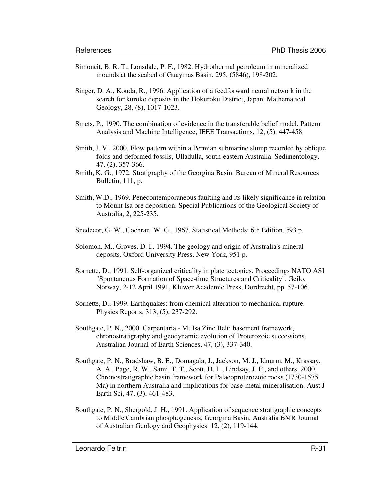- Simoneit, B. R. T., Lonsdale, P. F., 1982. Hydrothermal petroleum in mineralized mounds at the seabed of Guaymas Basin. 295, (5846), 198-202.
- Singer, D. A., Kouda, R., 1996. Application of a feedforward neural network in the search for kuroko deposits in the Hokuroku District, Japan. Mathematical Geology, 28, (8), 1017-1023.
- Smets, P., 1990. The combination of evidence in the transferable belief model. Pattern Analysis and Machine Intelligence, IEEE Transactions, 12, (5), 447-458.
- Smith, J. V., 2000. Flow pattern within a Permian submarine slump recorded by oblique folds and deformed fossils, Ulladulla, south-eastern Australia. Sedimentology, 47, (2), 357-366.
- Smith, K. G., 1972. Stratigraphy of the Georgina Basin. Bureau of Mineral Resources Bulletin, 111, p.
- Smith, W.D., 1969. Penecontemporaneous faulting and its likely significance in relation to Mount Isa ore deposition. Special Publications of the Geological Society of Australia, 2, 225-235.
- Snedecor, G. W., Cochran, W. G., 1967. Statistical Methods: 6th Edition. 593 p.
- Solomon, M., Groves, D. I., 1994. The geology and origin of Australia's mineral deposits. Oxford University Press, New York, 951 p.
- Sornette, D., 1991. Self-organized criticality in plate tectonics. Proceedings NATO ASI "Spontaneous Formation of Space-time Structures and Criticality". Geilo, Norway, 2-12 April 1991, Kluwer Academic Press, Dordrecht, pp. 57-106.
- Sornette, D., 1999. Earthquakes: from chemical alteration to mechanical rupture. Physics Reports, 313, (5), 237-292.
- Southgate, P. N., 2000. Carpentaria Mt Isa Zinc Belt: basement framework, chronostratigraphy and geodynamic evolution of Proterozoic successions. Australian Journal of Earth Sciences, 47, (3), 337-340.
- Southgate, P. N., Bradshaw, B. E., Domagala, J., Jackson, M. J., Idnurm, M., Krassay, A. A., Page, R. W., Sami, T. T., Scott, D. L., Lindsay, J. F., and others, 2000. Chronostratigraphic basin framework for Palaeoproterozoic rocks (1730-1575 Ma) in northern Australia and implications for base-metal mineralisation. Aust J Earth Sci, 47, (3), 461-483.
- Southgate, P. N., Shergold, J. H., 1991. Application of sequence stratigraphic concepts to Middle Cambrian phosphogenesis, Georgina Basin, Australia BMR Journal of Australian Geology and Geophysics 12, (2), 119-144.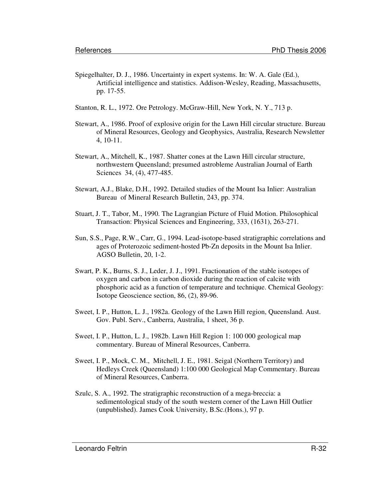- Spiegelhalter, D. J., 1986. Uncertainty in expert systems. In: W. A. Gale (Ed.), Artificial intelligence and statistics. Addison-Wesley, Reading, Massachusetts, pp. 17-55.
- Stanton, R. L., 1972. Ore Petrology. McGraw-Hill, New York, N. Y., 713 p.
- Stewart, A., 1986. Proof of explosive origin for the Lawn Hill circular structure. Bureau of Mineral Resources, Geology and Geophysics, Australia, Research Newsletter 4, 10-11.
- Stewart, A., Mitchell, K., 1987. Shatter cones at the Lawn Hill circular structure, northwestern Queensland; presumed astrobleme Australian Journal of Earth Sciences 34, (4), 477-485.
- Stewart, A.J., Blake, D.H., 1992. Detailed studies of the Mount Isa Inlier: Australian Bureau of Mineral Research Bulletin, 243, pp. 374.
- Stuart, J. T., Tabor, M., 1990. The Lagrangian Picture of Fluid Motion. Philosophical Transaction: Physical Sciences and Engineering, 333, (1631), 263-271.
- Sun, S.S., Page, R.W., Carr, G., 1994. Lead-isotope-based stratigraphic correlations and ages of Proterozoic sediment-hosted Pb-Zn deposits in the Mount Isa Inlier. AGSO Bulletin, 20, 1-2.
- Swart, P. K., Burns, S. J., Leder, J. J., 1991. Fractionation of the stable isotopes of oxygen and carbon in carbon dioxide during the reaction of calcite with phosphoric acid as a function of temperature and technique. Chemical Geology: Isotope Geoscience section, 86, (2), 89-96.
- Sweet, I. P., Hutton, L. J., 1982a. Geology of the Lawn Hill region, Queensland. Aust. Gov. Publ. Serv., Canberra, Australia, 1 sheet, 36 p.
- Sweet, I. P., Hutton, L. J., 1982b. Lawn Hill Region 1: 100 000 geological map commentary. Bureau of Mineral Resources, Canberra.
- Sweet, I. P., Mock, C. M., Mitchell, J. E., 1981. Seigal (Northern Territory) and Hedleys Creek (Queensland) 1:100 000 Geological Map Commentary. Bureau of Mineral Resources, Canberra.
- Szulc, S. A., 1992. The stratigraphic reconstruction of a mega-breccia: a sedimentological study of the south western corner of the Lawn Hill Outlier (unpublished). James Cook University, B.Sc.(Hons.), 97 p.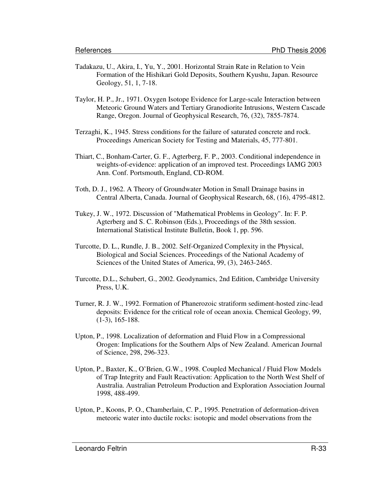- Tadakazu, U., Akira, I., Yu, Y., 2001. Horizontal Strain Rate in Relation to Vein Formation of the Hishikari Gold Deposits, Southern Kyushu, Japan. Resource Geology, 51, 1, 7-18.
- Taylor, H. P., Jr., 1971. Oxygen Isotope Evidence for Large-scale Interaction between Meteoric Ground Waters and Tertiary Granodiorite Intrusions, Western Cascade Range, Oregon. Journal of Geophysical Research, 76, (32), 7855-7874.
- Terzaghi, K., 1945. Stress conditions for the failure of saturated concrete and rock. Proceedings American Society for Testing and Materials, 45, 777-801.
- Thiart, C., Bonham-Carter, G. F., Agterberg, F. P., 2003. Conditional independence in weights-of-evidence: application of an improved test. Proceedings IAMG 2003 Ann. Conf. Portsmouth, England, CD-ROM.
- Toth, D. J., 1962. A Theory of Groundwater Motion in Small Drainage basins in Central Alberta, Canada. Journal of Geophysical Research, 68, (16), 4795-4812.
- Tukey, J. W., 1972. Discussion of "Mathematical Problems in Geology". In: F. P. Agterberg and S. C. Robinson (Eds.), Proceedings of the 38th session. International Statistical Institute Bulletin, Book 1, pp. 596.
- Turcotte, D. L., Rundle, J. B., 2002. Self-Organized Complexity in the Physical, Biological and Social Sciences. Proceedings of the National Academy of Sciences of the United States of America, 99, (3), 2463-2465.
- Turcotte, D.L., Schubert, G., 2002. Geodynamics, 2nd Edition, Cambridge University Press, U.K.
- Turner, R. J. W., 1992. Formation of Phanerozoic stratiform sediment-hosted zinc-lead deposits: Evidence for the critical role of ocean anoxia. Chemical Geology, 99, (1-3), 165-188.
- Upton, P., 1998. Localization of deformation and Fluid Flow in a Compressional Orogen: Implications for the Southern Alps of New Zealand. American Journal of Science, 298, 296-323.
- Upton, P., Baxter, K., O'Brien, G.W., 1998. Coupled Mechanical / Fluid Flow Models of Trap Integrity and Fault Reactivation: Application to the North West Shelf of Australia. Australian Petroleum Production and Exploration Association Journal 1998, 488-499.
- Upton, P., Koons, P. O., Chamberlain, C. P., 1995. Penetration of deformation-driven meteoric water into ductile rocks: isotopic and model observations from the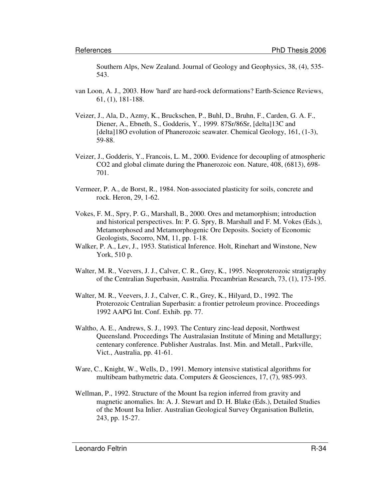Southern Alps, New Zealand. Journal of Geology and Geophysics, 38, (4), 535- 543.

- van Loon, A. J., 2003. How 'hard' are hard-rock deformations? Earth-Science Reviews, 61, (1), 181-188.
- Veizer, J., Ala, D., Azmy, K., Bruckschen, P., Buhl, D., Bruhn, F., Carden, G. A. F., Diener, A., Ebneth, S., Godderis, Y., 1999. 87Sr/86Sr, [delta]13C and [delta]18O evolution of Phanerozoic seawater. Chemical Geology, 161, (1-3), 59-88.
- Veizer, J., Godderis, Y., Francois, L. M., 2000. Evidence for decoupling of atmospheric CO2 and global climate during the Phanerozoic eon. Nature, 408, (6813), 698- 701.
- Vermeer, P. A., de Borst, R., 1984. Non-associated plasticity for soils, concrete and rock. Heron, 29, 1-62.
- Vokes, F. M., Spry, P. G., Marshall, B., 2000. Ores and metamorphism; introduction and historical perspectives. In: P. G. Spry, B. Marshall and F. M. Vokes (Eds.), Metamorphosed and Metamorphogenic Ore Deposits. Society of Economic Geologists, Socorro, NM, 11, pp. 1-18.
- Walker, P. A., Lev, J., 1953. Statistical Inference. Holt, Rinehart and Winstone, New York, 510 p.
- Walter, M. R., Veevers, J. J., Calver, C. R., Grey, K., 1995. Neoproterozoic stratigraphy of the Centralian Superbasin, Australia. Precambrian Research, 73, (1), 173-195.
- Walter, M. R., Veevers, J. J., Calver, C. R., Grey, K., Hilyard, D., 1992. The Proterozoic Centralian Superbasin: a frontier petroleum province. Proceedings 1992 AAPG Int. Conf. Exhib. pp. 77.
- Waltho, A. E., Andrews, S. J., 1993. The Century zinc-lead deposit, Northwest Queensland. Proceedings The Australasian Institute of Mining and Metallurgy; centenary conference. Publisher Australas. Inst. Min. and Metall., Parkville, Vict., Australia, pp. 41-61.
- Ware, C., Knight, W., Wells, D., 1991. Memory intensive statistical algorithms for multibeam bathymetric data. Computers & Geosciences, 17, (7), 985-993.
- Wellman, P., 1992. Structure of the Mount Isa region inferred from gravity and magnetic anomalies. In: A. J. Stewart and D. H. Blake (Eds.), Detailed Studies of the Mount Isa Inlier. Australian Geological Survey Organisation Bulletin, 243, pp. 15-27.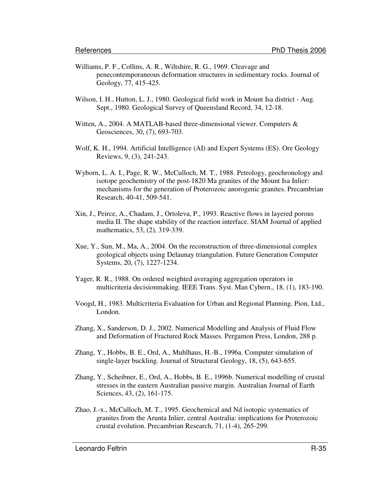- Williams, P. F., Collins, A. R., Wiltshire, R. G., 1969. Cleavage and penecontemporaneous deformation structures in sedimentary rocks. Journal of Geology, 77, 415-425.
- Wilson, I. H., Hutton, L. J., 1980. Geological field work in Mount Isa district Aug. Sept., 1980. Geological Survey of Queensland Record, 34, 12-18.
- Witten, A., 2004. A MATLAB-based three-dimensional viewer. Computers & Geosciences, 30, (7), 693-703.
- Wolf, K. H., 1994. Artificial Intelligence (AI) and Expert Systems (ES). Ore Geology Reviews, 9, (3), 241-243.
- Wyborn, L. A. I., Page, R. W., McCulloch, M. T., 1988. Petrology, geochronology and isotope geochemistry of the post-1820 Ma granites of the Mount Isa Inlier: mechanisms for the generation of Proterozoic anorogenic granites. Precambrian Research, 40-41, 509-541.
- Xin, J., Peirce, A., Chadam, J., Ortoleva, P., 1993. Reactive flows in layered porous media II. The shape stability of the reaction interface. SIAM Journal of applied mathematics, 53, (2), 319-339.
- Xue, Y., Sun, M., Ma, A., 2004. On the reconstruction of three-dimensional complex geological objects using Delaunay triangulation. Future Generation Computer Systems, 20, (7), 1227-1234.
- Yager, R. R., 1988. On ordered weighted averaging aggregation operators in multicriteria decisionmaking. IEEE Trans. Syst. Man Cybern., 18, (1), 183-190.
- Voogd, H., 1983. Multicriteria Evaluation for Urban and Regional Planning. Pion, Ltd., London.
- Zhang, X., Sanderson, D. J., 2002. Numerical Modelling and Analysis of Fluid Flow and Deformation of Fractured Rock Masses. Pergamon Press, London, 288 p.
- Zhang, Y., Hobbs, B. E., Ord, A., Muhlhaus, H.-B., 1996a. Computer simulation of single-layer buckling. Journal of Structural Geology, 18, (5), 643-655.
- Zhang, Y., Scheibner, E., Ord, A., Hobbs, B. E., 1996b. Numerical modelling of crustal stresses in the eastern Australian passive margin. Australian Journal of Earth Sciences, 43, (2), 161-175.
- Zhao, J.-x., McCulloch, M. T., 1995. Geochemical and Nd isotopic systematics of granites from the Arunta Inlier, central Australia: implications for Proterozoic crustal evolution. Precambrian Research, 71, (1-4), 265-299.